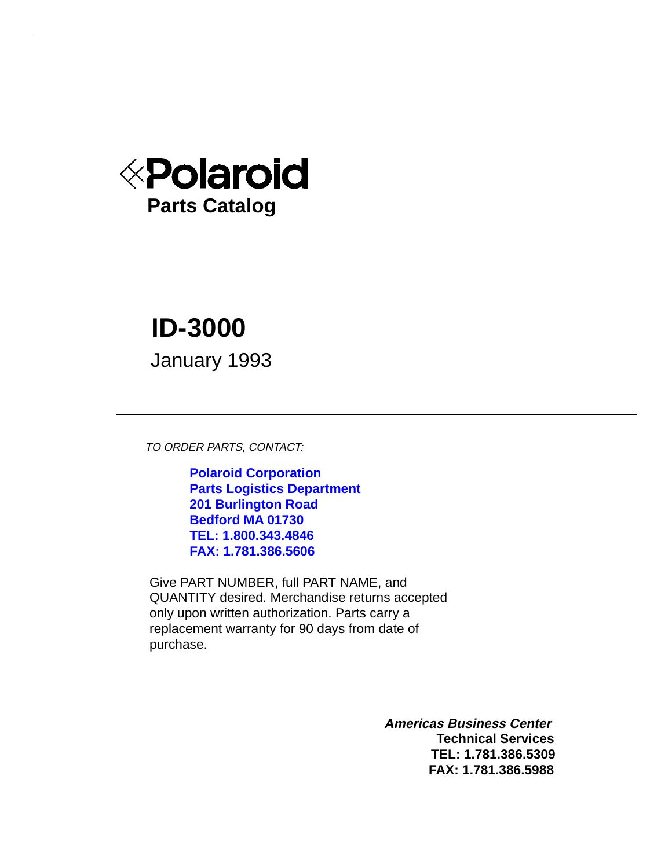

# **ID-3000**

January 1993

TO ORDER PARTS, CONTACT:

**Polaroid Corporation Parts Logistics Department 201 Burlington Road Bedford MA 01730 TEL: 1.800.343.4846 FAX: 1.781.386.5606**

Give PART NUMBER, full PART NAME, and QUANTITY desired. Merchandise returns accepted only upon written authorization. Parts carry a replacement warranty for 90 days from date of purchase.

> **Americas Business Center Technical Services TEL: 1.781.386.5309 FAX: 1.781.386.5988**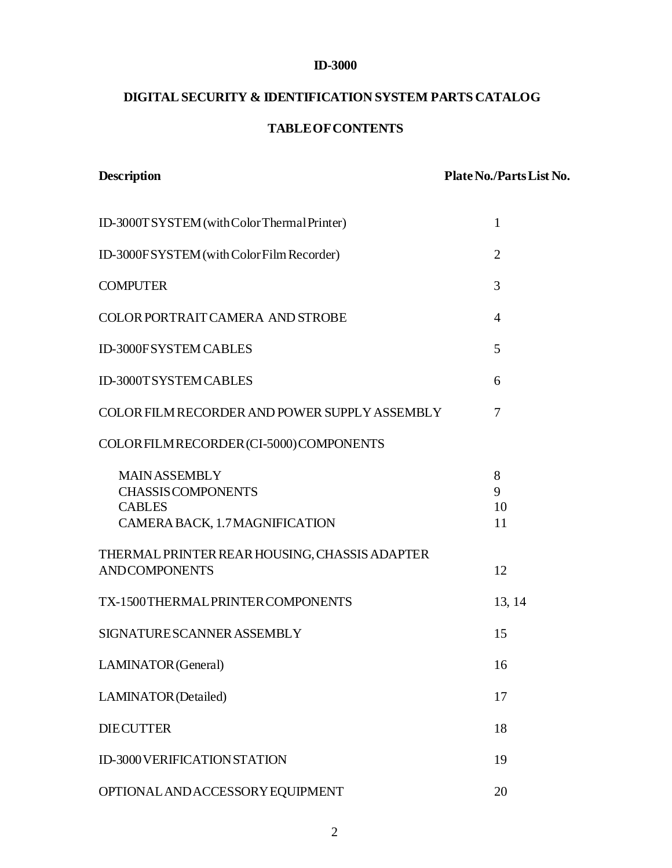#### **ID-3000**

## **DIGITAL SECURITY & IDENTIFICATION SYSTEM PARTS CATALOG**

#### **TABLE OF CONTENTS**

| <b>Description</b>                                                                                  | Plate No./Parts List No. |
|-----------------------------------------------------------------------------------------------------|--------------------------|
| ID-3000T SYSTEM (with Color Thermal Printer)                                                        | $\mathbf{1}$             |
| ID-3000FSYSTEM (with Color Film Recorder)                                                           | $\overline{2}$           |
| <b>COMPUTER</b>                                                                                     | 3                        |
| <b>COLOR PORTRAIT CAMERA AND STROBE</b>                                                             | $\overline{4}$           |
| ID-3000FSYSTEM CABLES                                                                               | 5                        |
| ID-3000TSYSTEM CABLES                                                                               | 6                        |
| COLOR FILM RECORDER AND POWER SUPPLY ASSEMBLY                                                       | 7                        |
| COLOR FILM RECORDER (CI-5000) COMPONENTS                                                            |                          |
| <b>MAINASSEMBLY</b><br><b>CHASSIS COMPONENTS</b><br><b>CABLES</b><br>CAMERA BACK, 1.7 MAGNIFICATION | 8<br>9<br>10<br>11       |
| THERMAL PRINTER REAR HOUSING, CHASSIS ADAPTER<br><b>ANDCOMPONENTS</b>                               | 12                       |
| TX-1500 THERMAL PRINTER COMPONENTS                                                                  | 13, 14                   |
| SIGNATURE SCANNER ASSEMBLY                                                                          | 15                       |
| LAMINATOR (General)                                                                                 | 16                       |
| <b>LAMINATOR</b> (Detailed)                                                                         | 17                       |
| <b>DIECUTTER</b>                                                                                    | 18                       |
| ID-3000 VERIFICATION STATION                                                                        | 19                       |
| OPTIONAL AND ACCESSORY EQUIPMENT                                                                    | 20                       |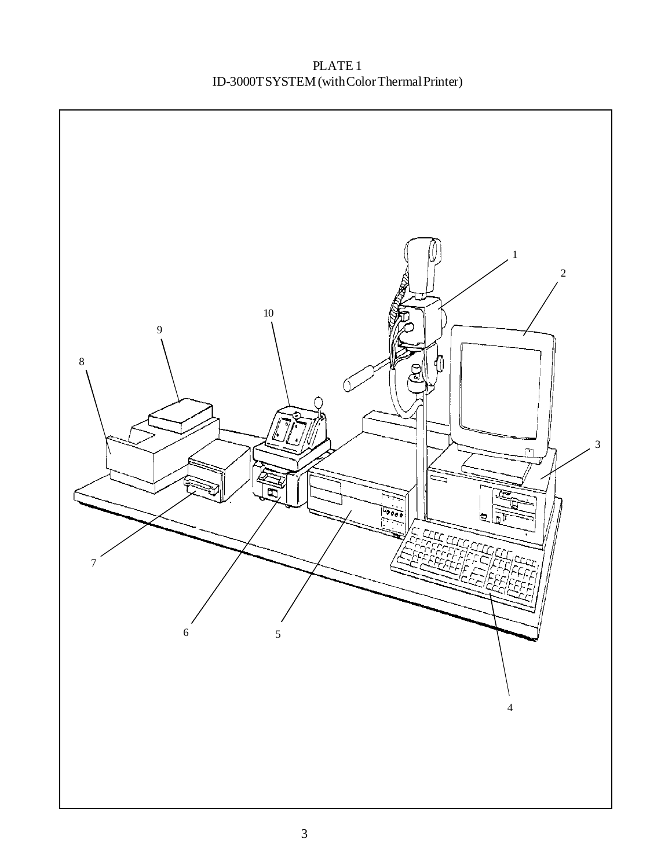PLATE 1 ID-3000T SYSTEM (with Color Thermal Printer)

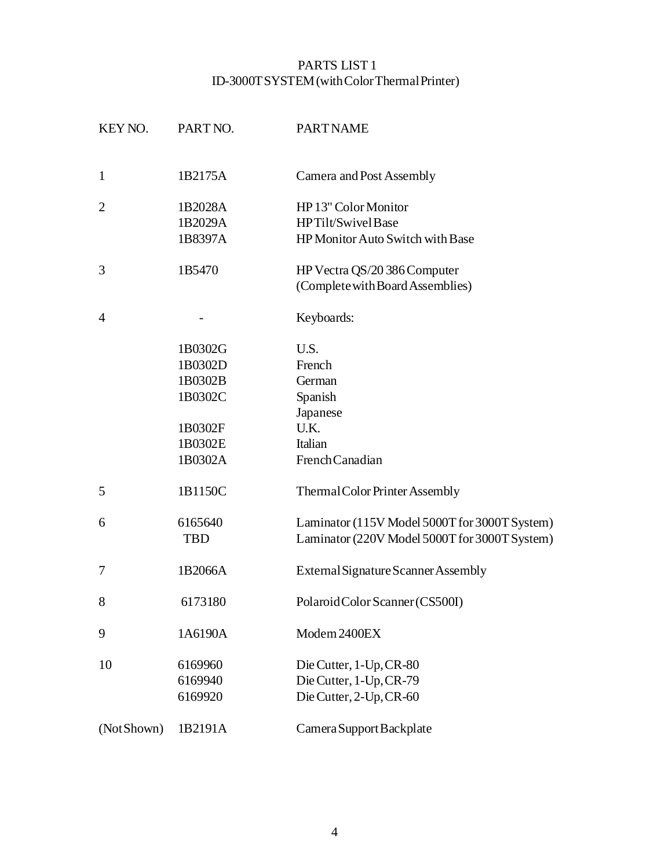## PARTS LIST 1 ID-3000T SYSTEM (with Color Thermal Printer)

| KEY NO.        | PART NO.   | <b>PARTNAME</b>                               |
|----------------|------------|-----------------------------------------------|
| $\mathbf{1}$   | 1B2175A    |                                               |
|                |            | <b>Camera and Post Assembly</b>               |
| $\overline{2}$ | 1B2028A    | HP 13" Color Monitor                          |
|                | 1B2029A    | HPTilt/SwivelBase                             |
|                | 1B8397A    | HP Monitor Auto Switch with Base              |
| 3              | 1B5470     | HP Vectra QS/20 386 Computer                  |
|                |            | (Complete with Board Assemblies)              |
| $\overline{4}$ |            | Keyboards:                                    |
|                | 1B0302G    | U.S.                                          |
|                | 1B0302D    | French                                        |
|                | 1B0302B    | German                                        |
|                | 1B0302C    | Spanish                                       |
|                |            | Japanese                                      |
|                | 1B0302F    | U.K.                                          |
|                | 1B0302E    | Italian                                       |
|                | 1B0302A    | French Canadian                               |
| 5              | 1B1150C    | Thermal Color Printer Assembly                |
| 6              | 6165640    | Laminator (115V Model 5000T for 3000T System) |
|                | <b>TBD</b> | Laminator (220V Model 5000T for 3000T System) |
| 7              | 1B2066A    | External Signature Scanner Assembly           |
| 8              | 6173180    | Polaroid Color Scanner (CS500I)               |
| 9              | 1A6190A    | Modem 2400EX                                  |
| 10             | 6169960    | Die Cutter, 1-Up, CR-80                       |
|                | 6169940    | Die Cutter, 1-Up, CR-79                       |
|                | 6169920    | Die Cutter, 2-Up, CR-60                       |
| (Not Shown)    | 1B2191A    | Camera Support Backplate                      |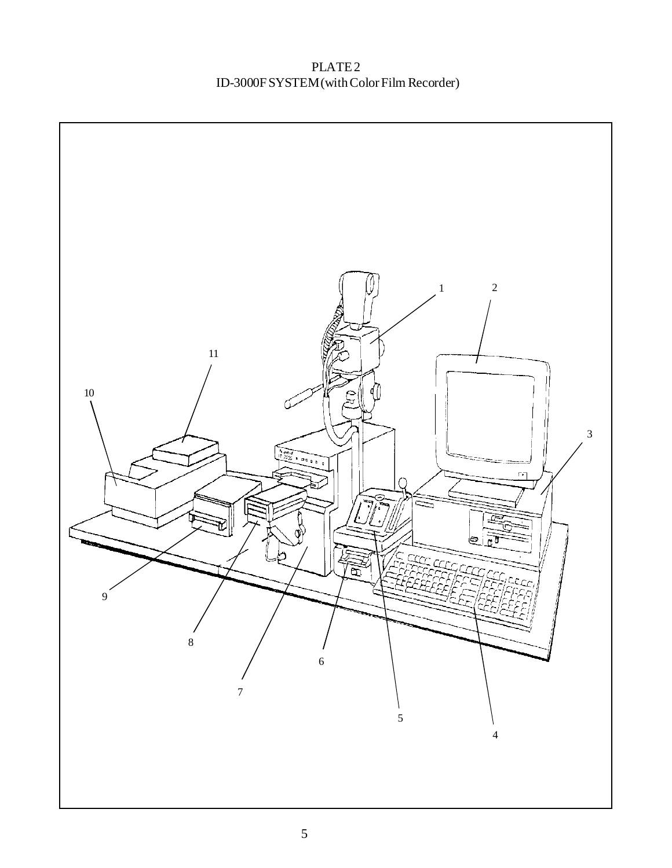PLATE 2 ID-3000F SYSTEM (with Color Film Recorder)

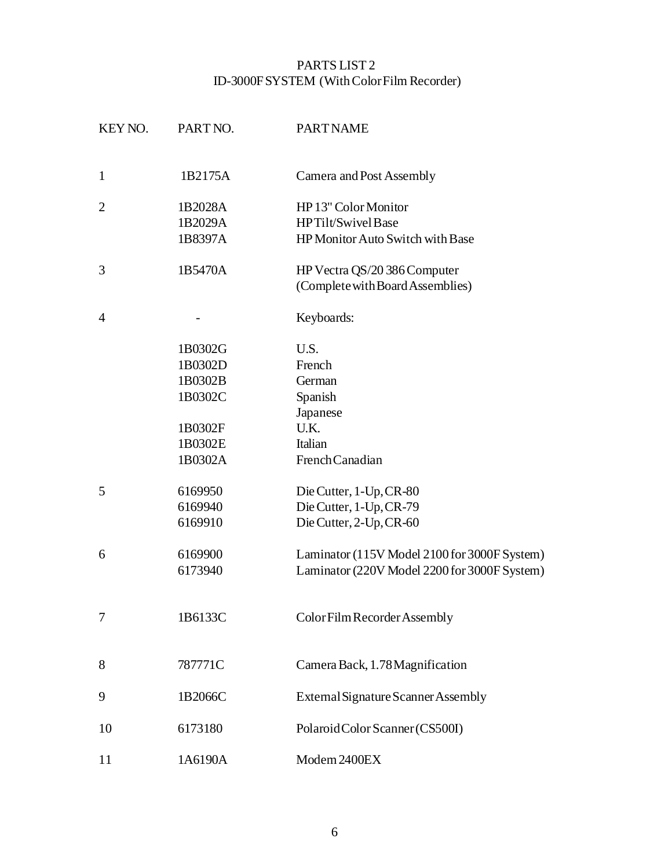## PARTS LIST 2 ID-3000F SYSTEM (With Color Film Recorder)

| KEY NO.        | PART NO. | <b>PART NAME</b>                             |
|----------------|----------|----------------------------------------------|
| $\mathbf{1}$   | 1B2175A  | Camera and Post Assembly                     |
| $\overline{2}$ | 1B2028A  | HP 13" Color Monitor                         |
|                | 1B2029A  | HPTilt/SwivelBase                            |
|                | 1B8397A  | HP Monitor Auto Switch with Base             |
| 3              | 1B5470A  | HP Vectra QS/20 386 Computer                 |
|                |          | (Complete with Board Assemblies)             |
| $\overline{4}$ |          | Keyboards:                                   |
|                | 1B0302G  | U.S.                                         |
|                | 1B0302D  | French                                       |
|                | 1B0302B  | German                                       |
|                | 1B0302C  | Spanish                                      |
|                |          | Japanese                                     |
|                | 1B0302F  | U.K.                                         |
|                | 1B0302E  | Italian                                      |
|                | 1B0302A  | French Canadian                              |
| 5              | 6169950  | Die Cutter, 1-Up, CR-80                      |
|                | 6169940  | Die Cutter, 1-Up, CR-79                      |
|                | 6169910  | Die Cutter, 2-Up, CR-60                      |
| 6              | 6169900  | Laminator (115V Model 2100 for 3000F System) |
|                | 6173940  | Laminator (220V Model 2200 for 3000F System) |
|                | 1B6133C  | Color Film Recorder Assembly                 |
| 8              | 787771C  | Camera Back, 1.78 Magnification              |
|                |          |                                              |
| 9              | 1B2066C  | External Signature Scanner Assembly          |
| 10             | 6173180  | Polaroid Color Scanner (CS500I)              |
| 11             | 1A6190A  | Modem 2400EX                                 |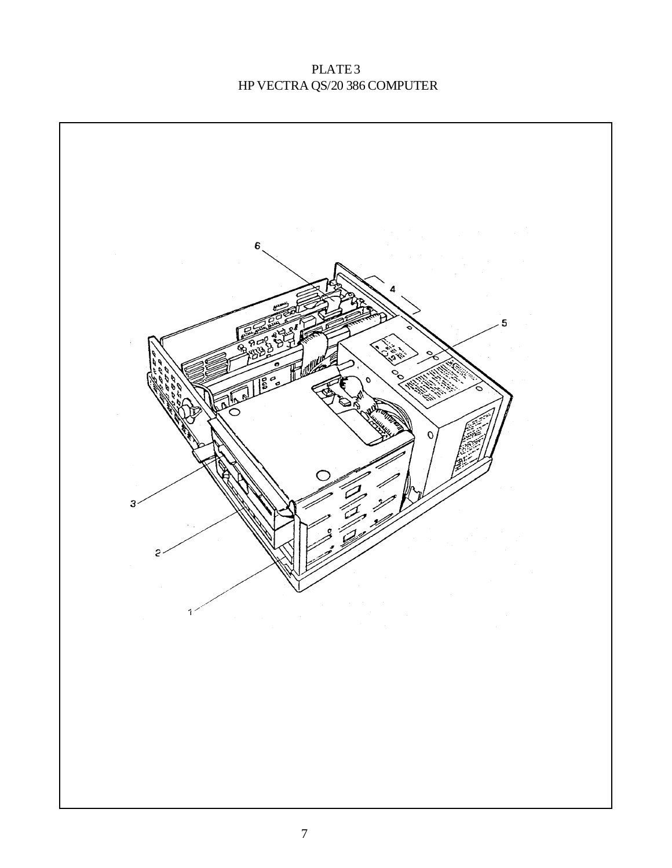# PLATE<sub>3</sub> HP VECTRA QS/20 386 COMPUTER

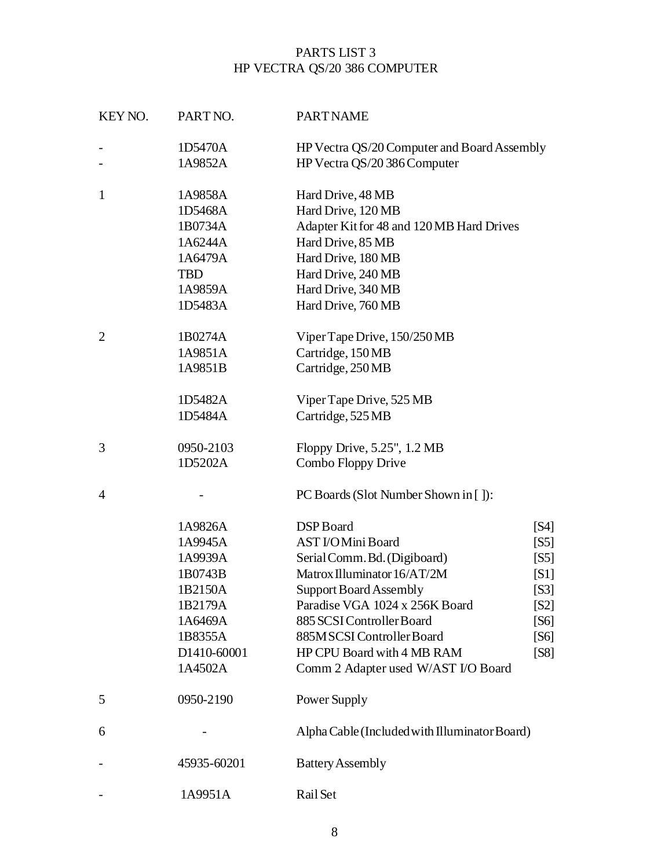# PARTS LIST 3 HP VECTRA QS/20 386 COMPUTER

| KEY NO.        | PART NO.    | <b>PART NAME</b>                              |               |
|----------------|-------------|-----------------------------------------------|---------------|
|                | 1D5470A     | HP Vectra QS/20 Computer and Board Assembly   |               |
| -              | 1A9852A     | HP Vectra QS/20 386 Computer                  |               |
| $\mathbf{1}$   | 1A9858A     | Hard Drive, 48 MB                             |               |
|                | 1D5468A     | Hard Drive, 120 MB                            |               |
|                | 1B0734A     | Adapter Kit for 48 and 120 MB Hard Drives     |               |
|                | 1A6244A     | Hard Drive, 85 MB                             |               |
|                | 1A6479A     | Hard Drive, 180 MB                            |               |
|                | <b>TBD</b>  | Hard Drive, 240 MB                            |               |
|                | 1A9859A     | Hard Drive, 340 MB                            |               |
|                | 1D5483A     | Hard Drive, 760 MB                            |               |
| $\overline{2}$ | 1B0274A     | Viper Tape Drive, 150/250 MB                  |               |
|                | 1A9851A     | Cartridge, 150MB                              |               |
|                | 1A9851B     | Cartridge, 250MB                              |               |
|                | 1D5482A     | Viper Tape Drive, 525 MB                      |               |
|                | 1D5484A     | Cartridge, 525 MB                             |               |
| 3              | 0950-2103   | Floppy Drive, 5.25", 1.2 MB                   |               |
|                | 1D5202A     | Combo Floppy Drive                            |               |
| 4              |             | PC Boards (Slot Number Shown in []):          |               |
|                | 1A9826A     | DSP Board                                     | [S4]          |
|                | 1A9945A     | <b>AST I/OMini Board</b>                      | [ <b>S</b>    |
|                | 1A9939A     | Serial Comm. Bd. (Digiboard)                  | [S5]          |
|                | 1B0743B     | Matrox Illuminator 16/AT/2M                   | [S1]          |
|                | 1B2150A     | <b>Support Board Assembly</b>                 | [ <b>S</b> 3] |
|                | 1B2179A     | Paradise VGA 1024 x 256K Board                | [S2]          |
|                | 1A6469A     | 885 SCSI Controller Board                     | [S6]          |
|                | 1B8355A     | 885MSCSI Controller Board                     | [S6]          |
|                | D1410-60001 | HP CPU Board with 4 MB RAM                    | [S8]          |
|                | 1A4502A     | Comm 2 Adapter used W/AST I/O Board           |               |
| 5              | 0950-2190   | Power Supply                                  |               |
| 6              |             | Alpha Cable (Included with Illuminator Board) |               |
|                | 45935-60201 | <b>Battery Assembly</b>                       |               |
|                | 1A9951A     | Rail Set                                      |               |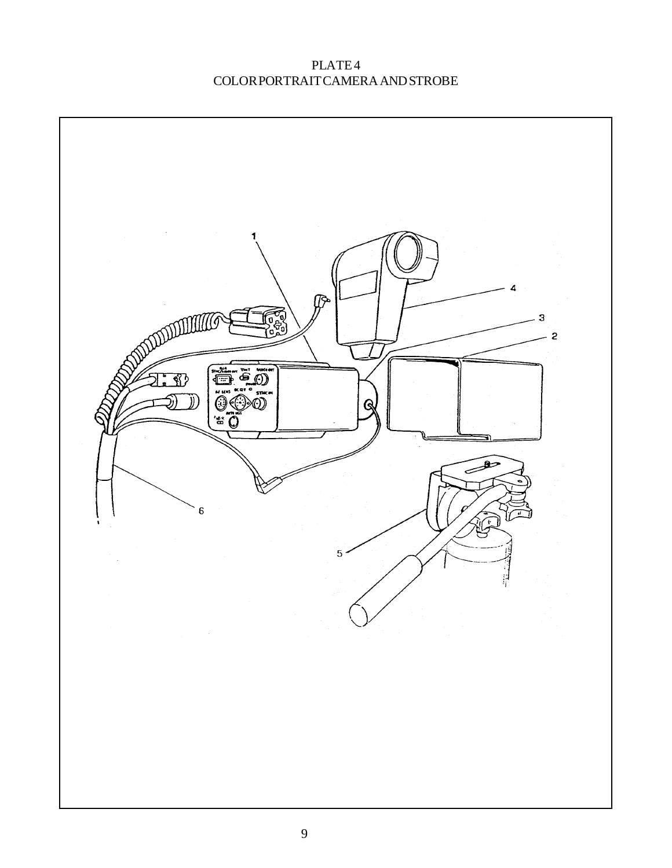PLATE 4 COLOR PORTRAIT CAMERA AND STROBE

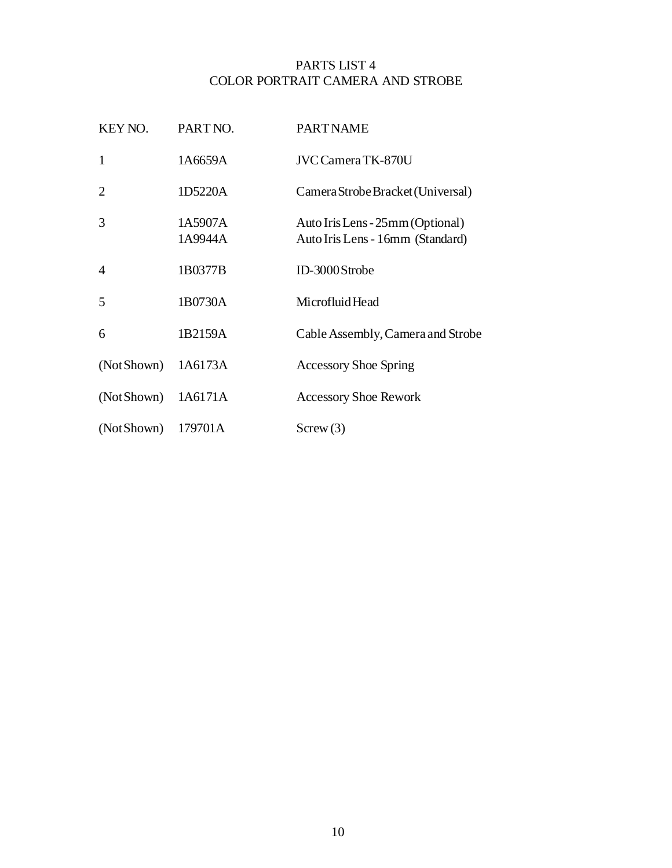### PARTS LIST 4 COLOR PORTRAIT CAMERA AND STROBE

| KEY NO.        | PART NO.           | <b>PART NAME</b>                                                     |
|----------------|--------------------|----------------------------------------------------------------------|
| $\mathbf{1}$   | 1A6659A            | <b>JVC Camera TK-870U</b>                                            |
| $\overline{2}$ | 1D5220A            | Camera Strobe Bracket (Universal)                                    |
| 3              | 1A5907A<br>1A9944A | Auto Iris Lens - 25mm (Optional)<br>Auto Iris Lens - 16mm (Standard) |
| $\overline{4}$ | 1B0377B            | ID-3000Strobe                                                        |
| 5              | 1B0730A            | Microfluid Head                                                      |
| 6              | 1B2159A            | Cable Assembly, Camera and Strobe                                    |
| (Not Shown)    | 1A6173A            | <b>Accessory Shoe Spring</b>                                         |
| (Not Shown)    | 1A6171A            | <b>Accessory Shoe Rework</b>                                         |
| (Not Shown)    | 179701A            | Screw(3)                                                             |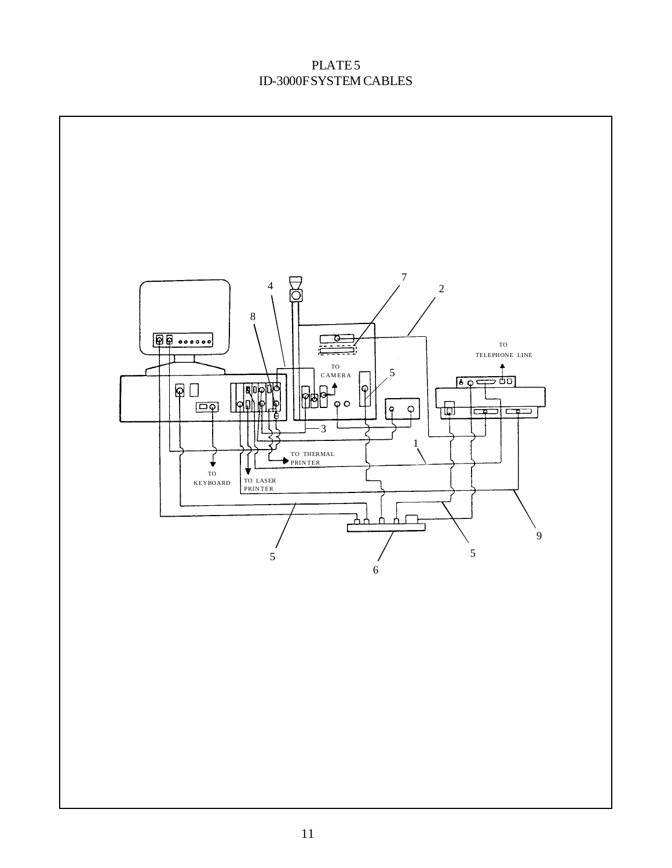## PLATE<sub>5</sub> ID-3000F SYSTEM CABLES

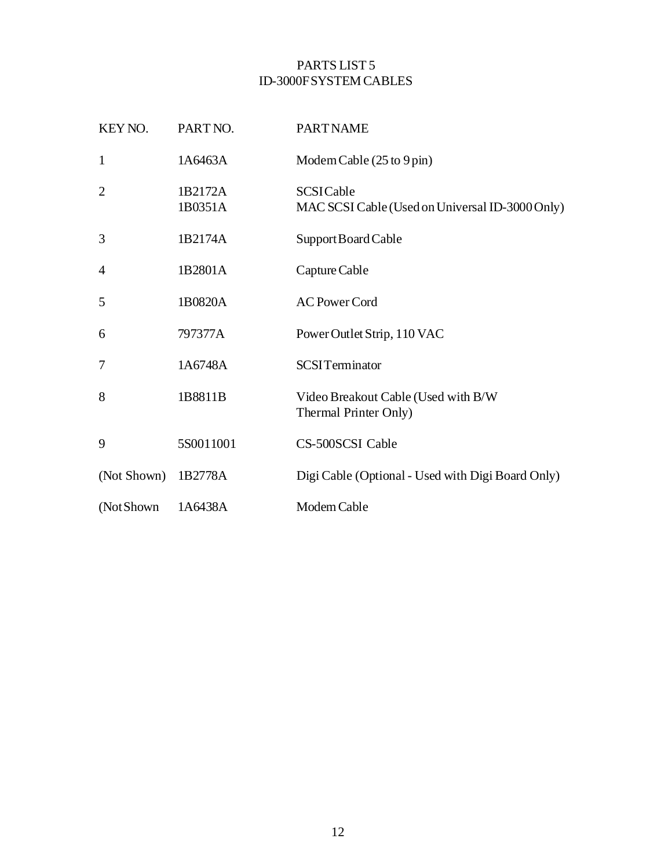## PARTS LIST 5 ID-3000F SYSTEM CABLES

| KEY NO.        | PART NO.           | <b>PART NAME</b>                                                    |
|----------------|--------------------|---------------------------------------------------------------------|
| $\mathbf{1}$   | 1A6463A            | Modem Cable (25 to 9 pin)                                           |
| $\overline{2}$ | 1B2172A<br>1B0351A | <b>SCSICable</b><br>MAC SCSI Cable (Used on Universal ID-3000 Only) |
| 3              | 1B2174A            | Support Board Cable                                                 |
| $\overline{4}$ | 1B2801A            | Capture Cable                                                       |
| 5              | 1B0820A            | <b>AC Power Cord</b>                                                |
| 6              | 797377A            | Power Outlet Strip, 110 VAC                                         |
| 7              | 1A6748A            | <b>SCSITerminator</b>                                               |
| 8              | 1B8811B            | Video Breakout Cable (Used with B/W<br>Thermal Printer Only)        |
| 9              | 5S0011001          | CS-500SCSI Cable                                                    |
| (Not Shown)    | 1B2778A            | Digi Cable (Optional - Used with Digi Board Only)                   |
| (Not Shown)    | 1A6438A            | Modem Cable                                                         |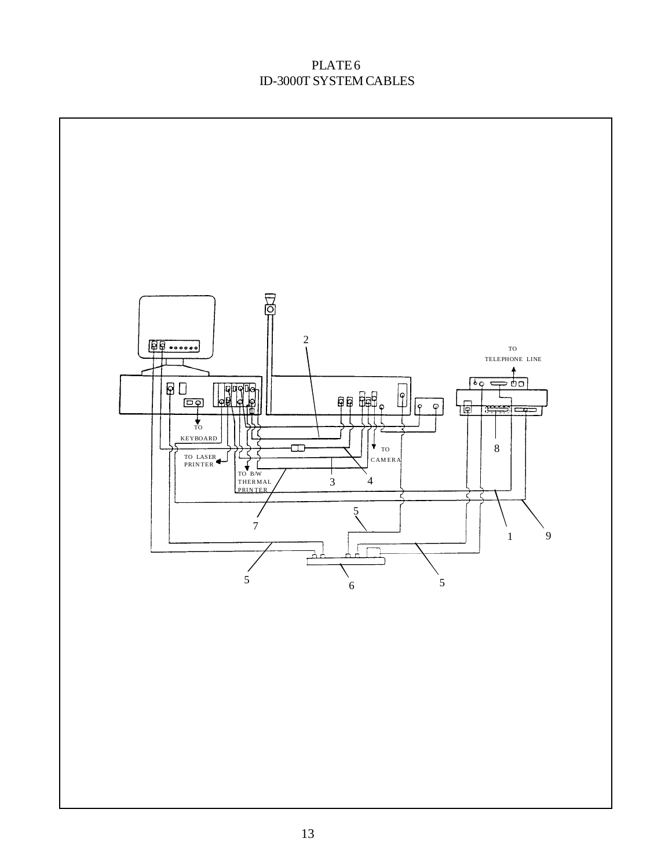## PLATE 6 ID-3000T SYSTEM CABLES

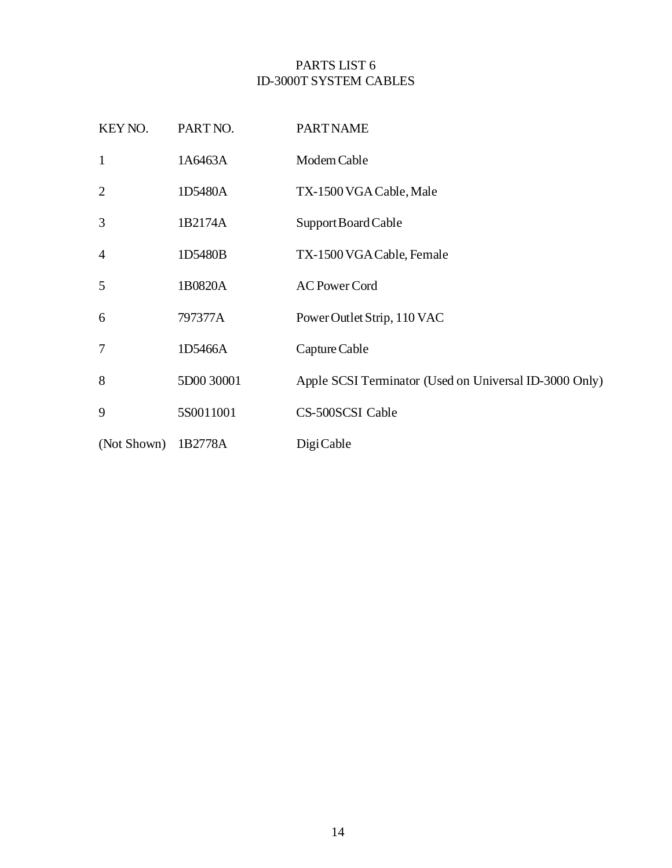## PARTS LIST 6 ID-3000T SYSTEM CABLES

| KEY NO.        | PART NO.   | <b>PART NAME</b>                                       |
|----------------|------------|--------------------------------------------------------|
| $\mathbf{1}$   | 1A6463A    | Modem Cable                                            |
| $\overline{2}$ | 1D5480A    | TX-1500 VGA Cable, Male                                |
| 3              | 1B2174A    | Support Board Cable                                    |
| $\overline{4}$ | 1D5480B    | TX-1500 VGA Cable, Female                              |
| 5              | 1B0820A    | <b>AC Power Cord</b>                                   |
| 6              | 797377A    | Power Outlet Strip, 110 VAC                            |
| 7              | 1D5466A    | Capture Cable                                          |
| 8              | 5D00 30001 | Apple SCSI Terminator (Used on Universal ID-3000 Only) |
| 9              | 5S0011001  | <b>CS-500SCSI Cable</b>                                |
| (Not Shown)    | 1B2778A    | Digi Cable                                             |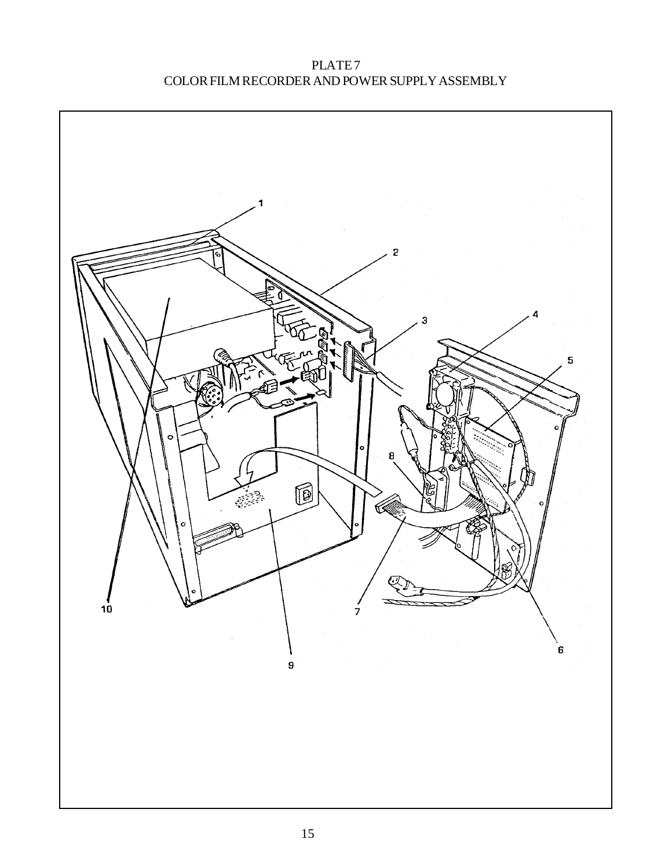PLATE<sub>7</sub> COLOR FILM RECORDER AND POWER SUPPLY ASSEMBLY

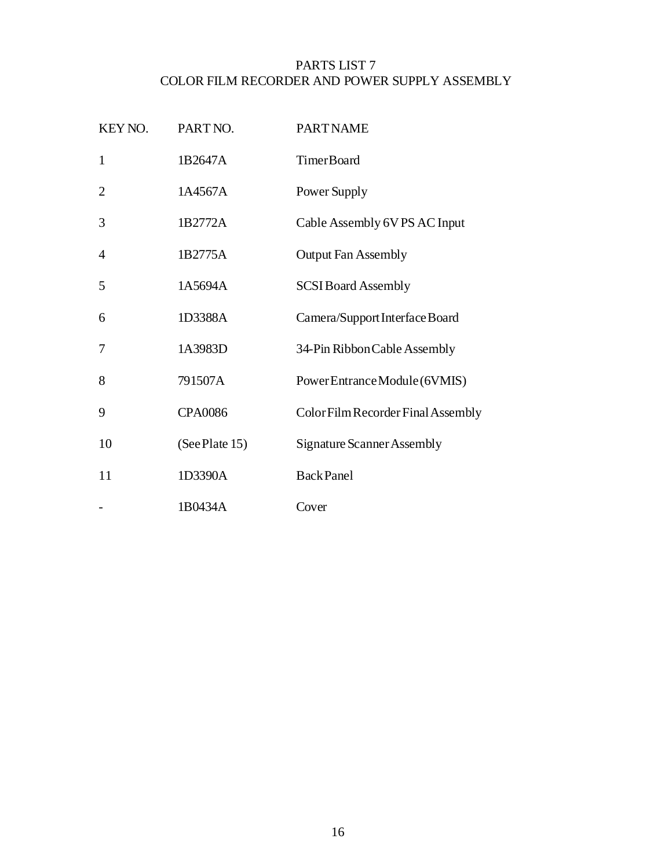## PARTS LIST 7 COLOR FILM RECORDER AND POWER SUPPLY ASSEMBLY

| KEY NO.        | PART NO.       | <b>PART NAME</b>                   |
|----------------|----------------|------------------------------------|
| $\mathbf{1}$   | 1B2647A        | <b>TimerBoard</b>                  |
| $\overline{2}$ | 1A4567A        | Power Supply                       |
| 3              | 1B2772A        | Cable Assembly 6V PS AC Input      |
| 4              | 1B2775A        | <b>Output Fan Assembly</b>         |
| 5              | 1A5694A        | <b>SCSI Board Assembly</b>         |
| 6              | 1D3388A        | Camera/Support Interface Board     |
| 7              | 1A3983D        | 34-Pin Ribbon Cable Assembly       |
| 8              | 791507A        | PowerEntranceModule(6VMIS)         |
| 9              | <b>CPA0086</b> | Color Film Recorder Final Assembly |
| 10             | (See Plate 15) | <b>Signature Scanner Assembly</b>  |
| 11             | 1D3390A        | <b>BackPanel</b>                   |
|                | 1B0434A        | Cover                              |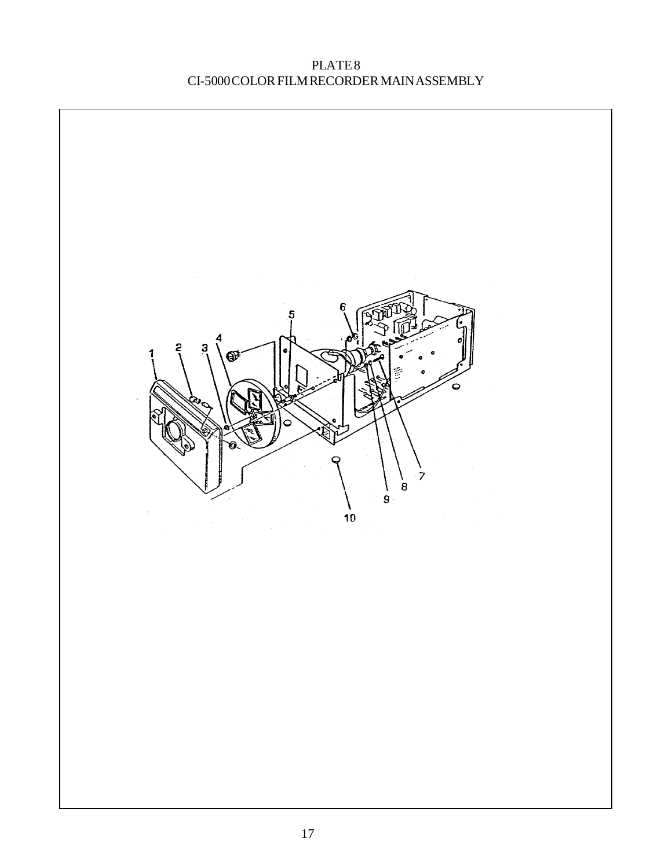PLATE 8 CI-5000 COLOR FILM RECORDER MAIN ASSEMBLY

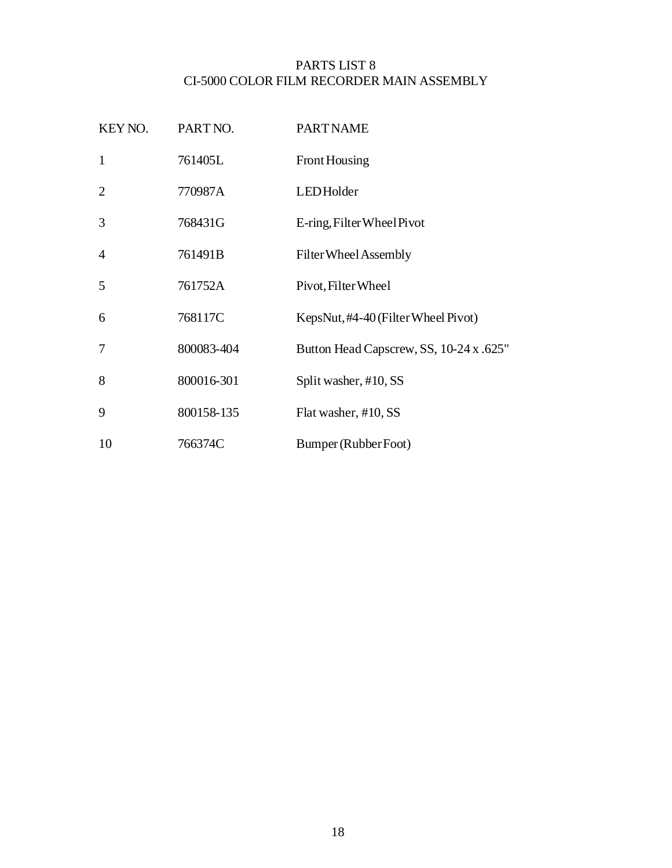#### PARTS LIST 8 CI-5000 COLOR FILM RECORDER MAIN ASSEMBLY

| KEY NO.        | PART NO.   | <b>PART NAME</b>                        |
|----------------|------------|-----------------------------------------|
| $\mathbf{1}$   | 761405L    | Front Housing                           |
| $\overline{2}$ | 770987A    | <b>LEDHolder</b>                        |
| 3              | 768431G    | E-ring, Filter Wheel Pivot              |
| $\overline{4}$ | 761491B    | Filter Wheel Assembly                   |
| 5              | 761752A    | Pivot, Filter Wheel                     |
| 6              | 768117C    | KepsNut, #4-40 (Filter Wheel Pivot)     |
| $\overline{7}$ | 800083-404 | Button Head Capscrew, SS, 10-24 x .625" |
| 8              | 800016-301 | Split washer, #10, SS                   |
| 9              | 800158-135 | Flat washer, #10, SS                    |
| 10             | 766374C    | Bumper (Rubber Foot)                    |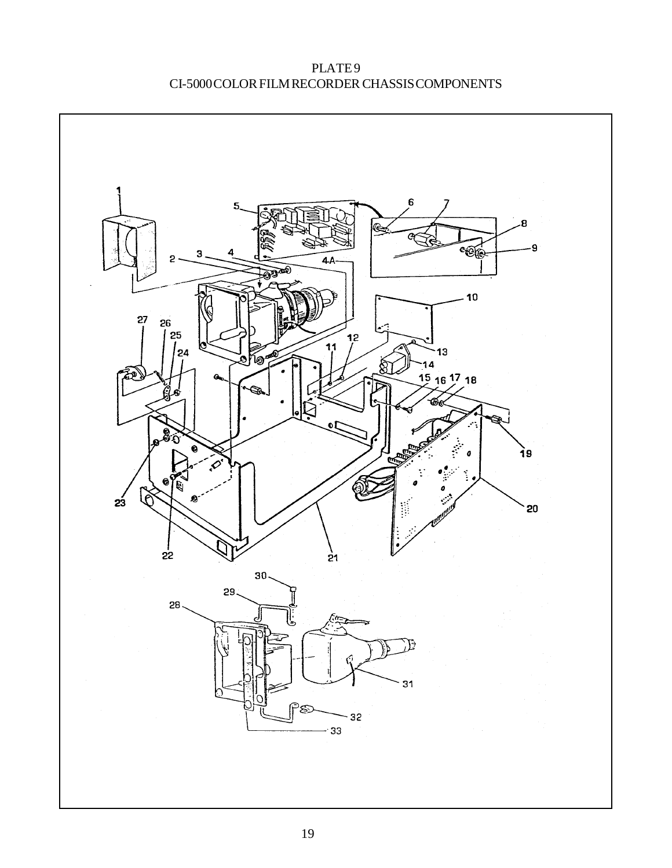PLATE<sub>9</sub> CI-5000 COLOR FILM RECORDER CHASSIS COMPONENTS

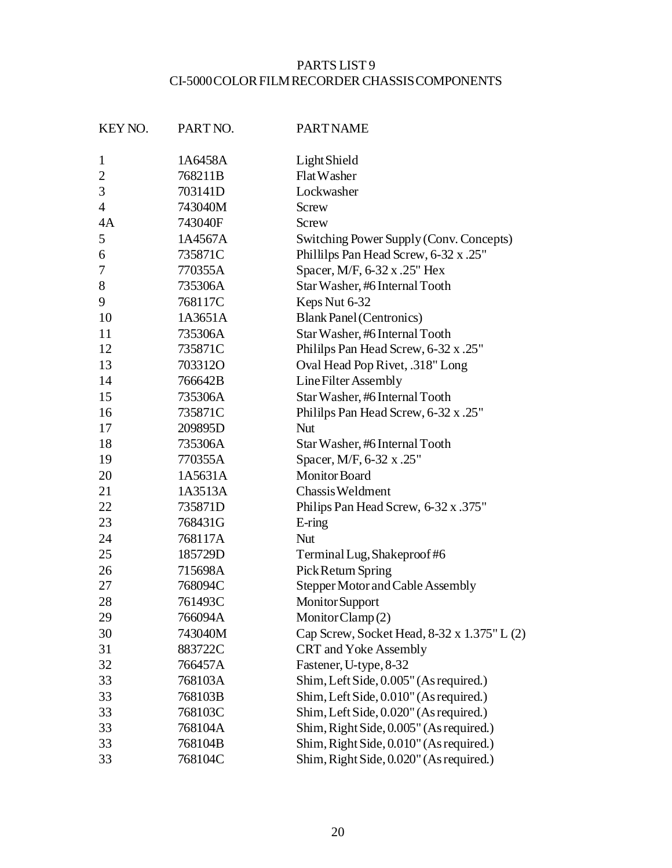## PARTS LIST 9 CI-5000 COLOR FILM RECORDER CHASSIS COMPONENTS

| KEY NO.        | PART NO. | <b>PART NAME</b>                            |
|----------------|----------|---------------------------------------------|
| $\mathbf{1}$   | 1A6458A  | Light Shield                                |
| $\overline{2}$ | 768211B  | Flat Washer                                 |
| 3              | 703141D  | Lockwasher                                  |
| $\overline{4}$ | 743040M  | Screw                                       |
| 4A             | 743040F  | Screw                                       |
| 5              | 1A4567A  | Switching Power Supply (Conv. Concepts)     |
| 6              | 735871C  | Phillilps Pan Head Screw, 6-32 x .25"       |
| 7              | 770355A  | Spacer, M/F, 6-32 x .25" Hex                |
| 8              | 735306A  | Star Washer, #6 Internal Tooth              |
| 9              | 768117C  | Keps Nut 6-32                               |
| 10             | 1A3651A  | <b>Blank Panel (Centronics)</b>             |
| 11             | 735306A  | Star Washer, #6 Internal Tooth              |
| 12             | 735871C  | Philips Pan Head Screw, 6-32 x .25"         |
| 13             | 703312O  | Oval Head Pop Rivet, .318" Long             |
| 14             | 766642B  | Line Filter Assembly                        |
| 15             | 735306A  | Star Washer, #6 Internal Tooth              |
| 16             | 735871C  | Philips Pan Head Screw, 6-32 x .25"         |
| 17             | 209895D  | Nut                                         |
| 18             | 735306A  | Star Washer, #6 Internal Tooth              |
| 19             | 770355A  | Spacer, M/F, 6-32 x .25"                    |
| 20             | 1A5631A  | <b>Monitor Board</b>                        |
| 21             | 1A3513A  | Chassis Weldment                            |
| 22             | 735871D  | Philips Pan Head Screw, 6-32 x .375"        |
| 23             | 768431G  | E-ring                                      |
| 24             | 768117A  | <b>Nut</b>                                  |
| 25             | 185729D  | Terminal Lug, Shakeproof#6                  |
| 26             | 715698A  | Pick Return Spring                          |
| 27             | 768094C  | Stepper Motor and Cable Assembly            |
| 28             | 761493C  | Monitor Support                             |
| 29             | 766094A  | MonitorClamp(2)                             |
| 30             | 743040M  | Cap Screw, Socket Head, 8-32 x 1.375" L (2) |
| 31             | 883722C  | CRT and Yoke Assembly                       |
| 32             | 766457A  | Fastener, U-type, 8-32                      |
| 33             | 768103A  | Shim, Left Side, 0.005" (As required.)      |
| 33             | 768103B  | Shim, Left Side, 0.010" (As required.)      |
| 33             | 768103C  | Shim, Left Side, 0.020" (As required.)      |
| 33             | 768104A  | Shim, Right Side, 0.005" (As required.)     |
| 33             | 768104B  | Shim, Right Side, 0.010" (As required.)     |
| 33             | 768104C  | Shim, Right Side, 0.020" (As required.)     |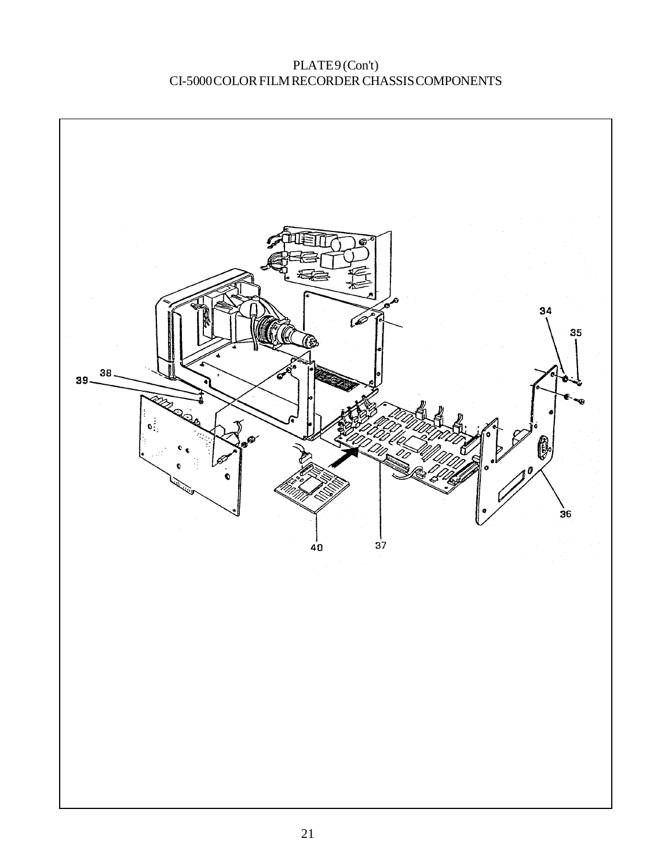PLATE9(Con't) CI-5000 COLOR FILM RECORDER CHASSIS COMPONENTS

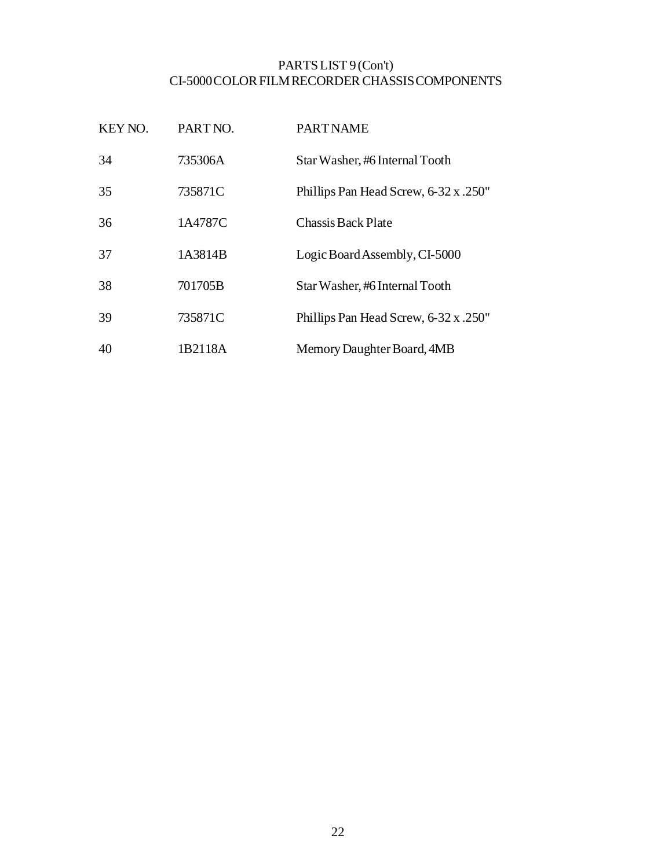#### PARTS LIST 9 (Con't) CI-5000 COLOR FILM RECORDER CHASSIS COMPONENTS

| KEY NO. | PART NO. | <b>PART NAME</b>                      |
|---------|----------|---------------------------------------|
| 34      | 735306A  | Star Washer, #6 Internal Tooth        |
| 35      | 735871C  | Phillips Pan Head Screw, 6-32 x .250" |
| 36      | 1A4787C  | <b>Chassis Back Plate</b>             |
| 37      | 1A3814B  | Logic Board Assembly, CI-5000         |
| 38      | 701705B  | Star Washer, #6 Internal Tooth        |
| 39      | 735871C  | Phillips Pan Head Screw, 6-32 x .250" |
| 40      | 1B2118A  | Memory Daughter Board, 4MB            |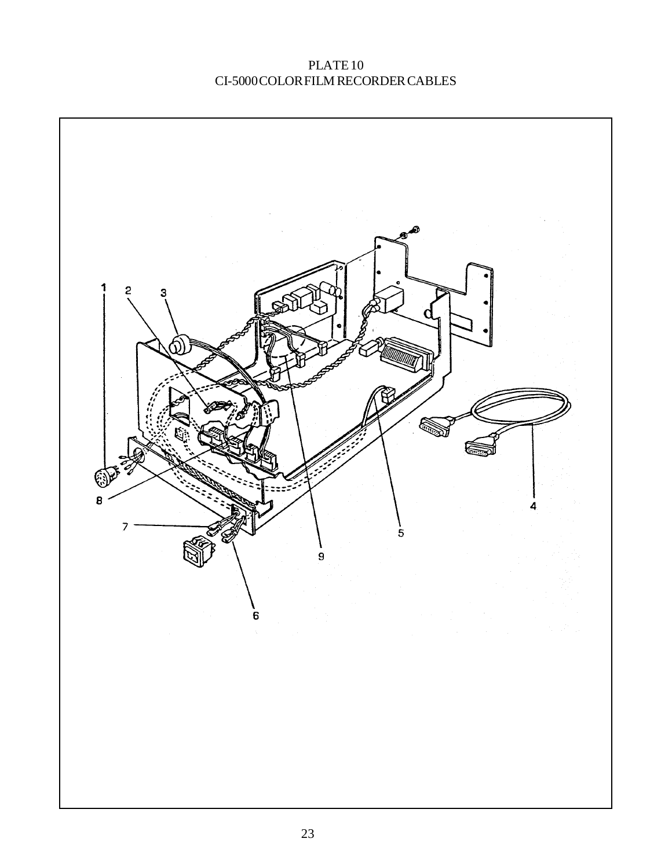## PLATE 10 CI-5000 COLOR FILM RECORDER CABLES

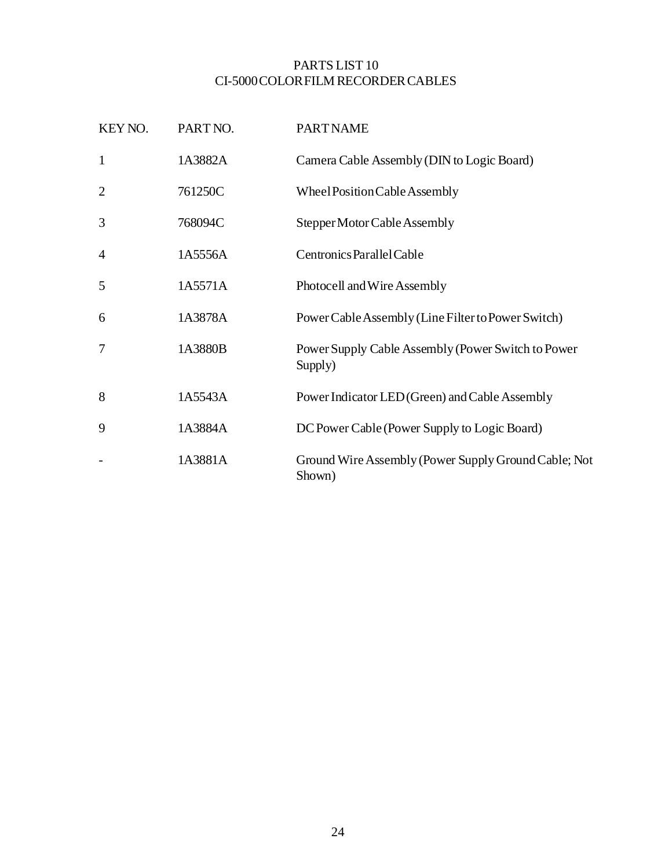#### PARTS LIST 10 CI-5000 COLOR FILM RECORDER CABLES

| KEY NO.        | PART NO. | <b>PART NAME</b>                                               |
|----------------|----------|----------------------------------------------------------------|
| $\mathbf{1}$   | 1A3882A  | Camera Cable Assembly (DIN to Logic Board)                     |
| $\overline{2}$ | 761250C  | Wheel Position Cable Assembly                                  |
| 3              | 768094C  | Stepper Motor Cable Assembly                                   |
| 4              | 1A5556A  | Centronics Parallel Cable                                      |
| 5              | 1A5571A  | Photocell and Wire Assembly                                    |
| 6              | 1A3878A  | Power Cable Assembly (Line Filter to Power Switch)             |
| 7              | 1A3880B  | Power Supply Cable Assembly (Power Switch to Power<br>Supply)  |
| 8              | 1A5543A  | Power Indicator LED (Green) and Cable Assembly                 |
| 9              | 1A3884A  | DC Power Cable (Power Supply to Logic Board)                   |
|                | 1A3881A  | Ground Wire Assembly (Power Supply Ground Cable; Not<br>Shown) |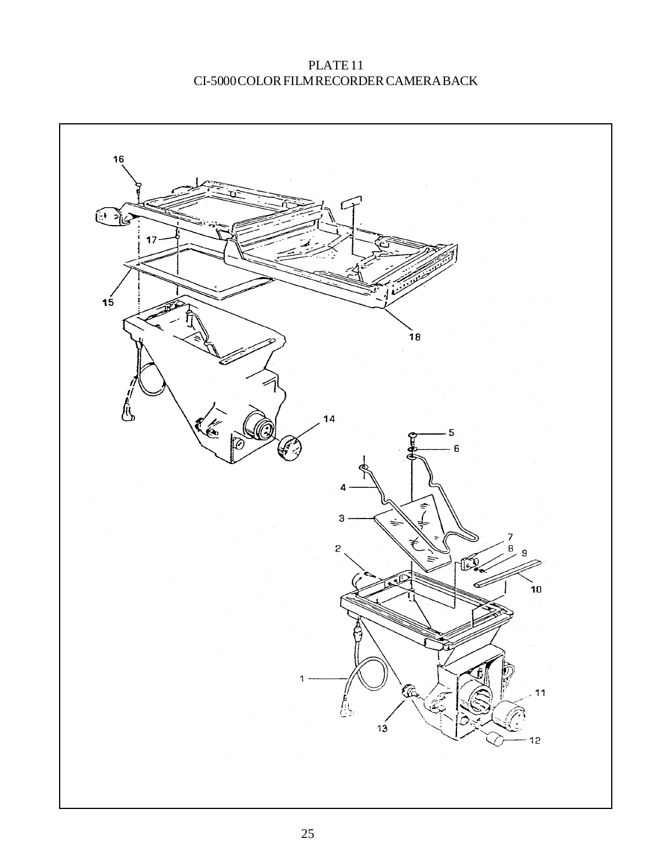PLATE 11 CI-5000 COLOR FILM RECORDER CAMERA BACK

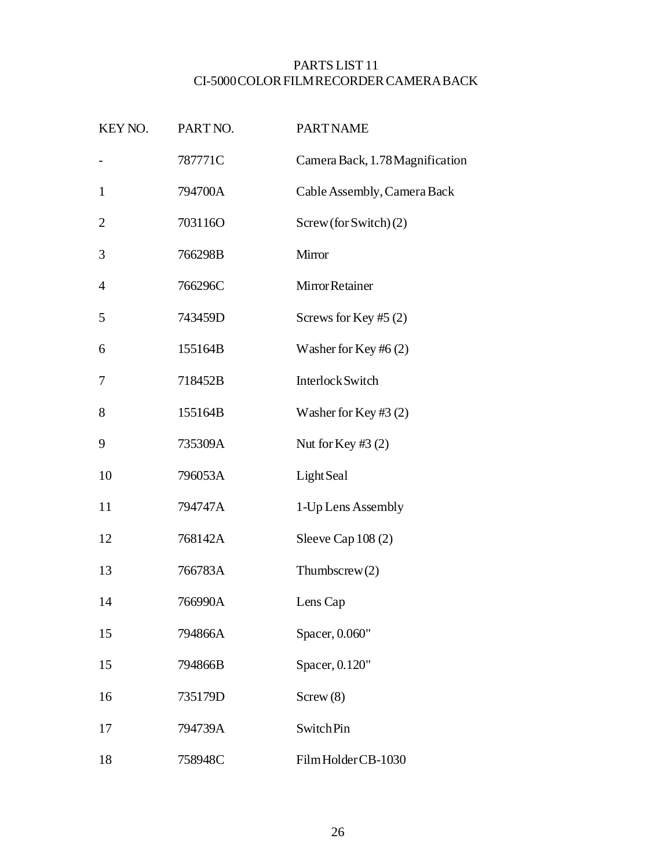#### PARTS LIST 11 CI-5000 COLOR FILM RECORDER CAMERA BACK

| KEY NO.        | PART NO. | <b>PART NAME</b>                |
|----------------|----------|---------------------------------|
|                | 787771C  | Camera Back, 1.78 Magnification |
| $\mathbf{1}$   | 794700A  | Cable Assembly, Camera Back     |
| $\overline{2}$ | 703116O  | Screw (for Switch) (2)          |
| 3              | 766298B  | Mirror                          |
| $\overline{4}$ | 766296C  | Mirror Retainer                 |
| 5              | 743459D  | Screws for Key #5 $(2)$         |
| 6              | 155164B  | Washer for Key #6 $(2)$         |
| 7              | 718452B  | Interlock Switch                |
| 8              | 155164B  | Washer for Key #3 $(2)$         |
| 9              | 735309A  | Nut for Key #3 $(2)$            |
| 10             | 796053A  | Light Seal                      |
| 11             | 794747A  | 1-Up Lens Assembly              |
| 12             | 768142A  | Sleeve Cap 108 (2)              |
| 13             | 766783A  | Thumbscrew $(2)$                |
| 14             | 766990A  | Lens Cap                        |
| 15             | 794866A  | Spacer, 0.060"                  |
| 15             | 794866B  | Spacer, 0.120"                  |
| 16             | 735179D  | Screw(8)                        |
| 17             | 794739A  | Switch Pin                      |
| 18             | 758948C  | Film Holder CB-1030             |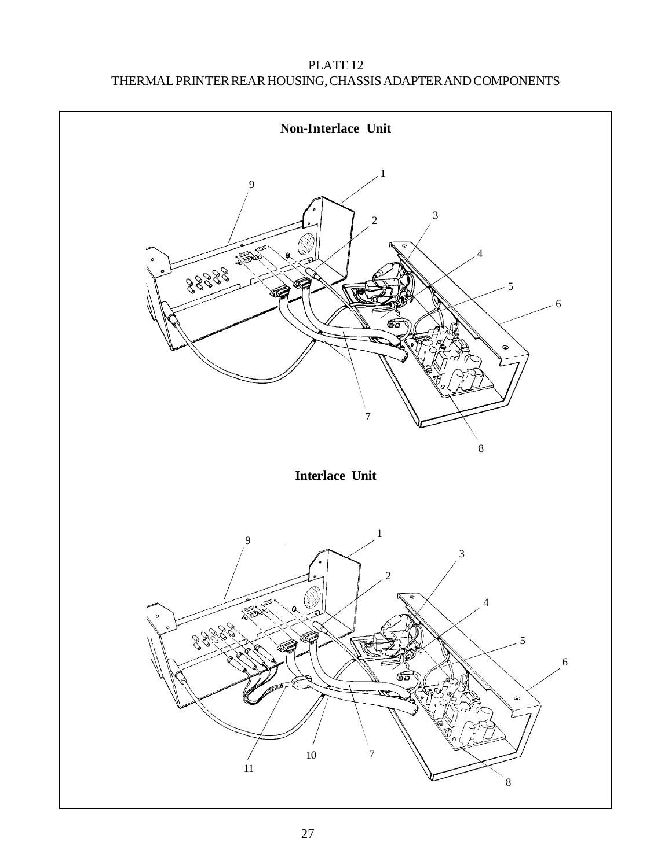## PLATE 12 THERMAL PRINTER REAR HOUSING, CHASSIS ADAPTER AND COMPONENTS

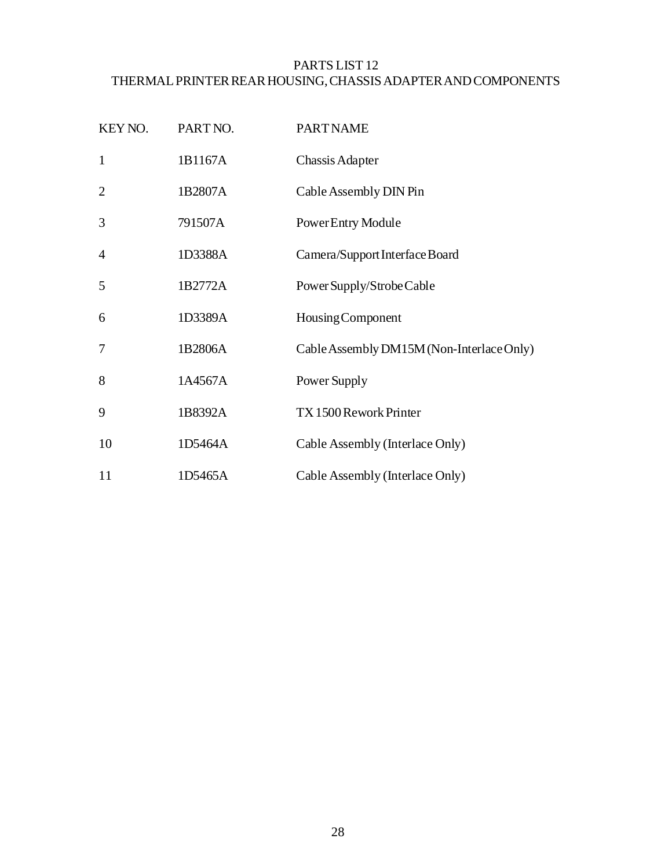#### PARTS LIST 12 THERMAL PRINTER REAR HOUSING, CHASSIS ADAPTER AND COMPONENTS

| KEY NO.        | PART NO. | <b>PART NAME</b>                          |
|----------------|----------|-------------------------------------------|
| $\mathbf{1}$   | 1B1167A  | Chassis Adapter                           |
| $\overline{2}$ | 1B2807A  | Cable Assembly DIN Pin                    |
| 3              | 791507A  | Power Entry Module                        |
| $\overline{4}$ | 1D3388A  | Camera/Support Interface Board            |
| 5              | 1B2772A  | Power Supply/Strobe Cable                 |
| 6              | 1D3389A  | Housing Component                         |
| $\overline{7}$ | 1B2806A  | Cable Assembly DM15M (Non-Interlace Only) |
| 8              | 1A4567A  | Power Supply                              |
| 9              | 1B8392A  | TX 1500 Rework Printer                    |
| 10             | 1D5464A  | Cable Assembly (Interlace Only)           |
| 11             | 1D5465A  | Cable Assembly (Interlace Only)           |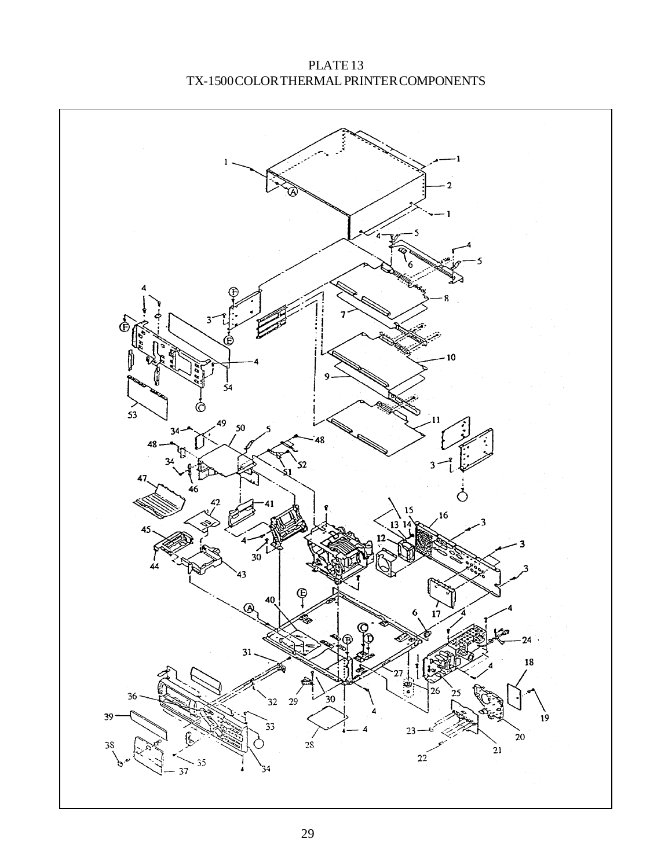$\mathbf{1}$ Œ  $\overline{53}$  $\circlearrowleft$  $\mathbf{c}$  $32<sup>°</sup>$  $39<sup>°</sup>$  $2\$\,$  $\overline{21}$ 

PLATE 13 TX-1500 COLOR THERMAL PRINTER COMPONENTS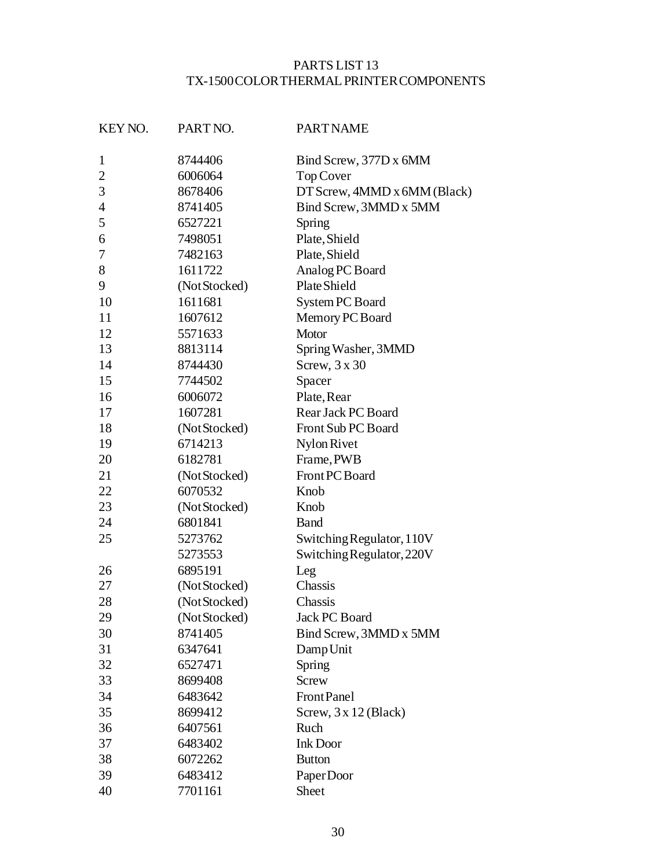#### PARTS LIST 13 TX-1500 COLOR THERMAL PRINTER COMPONENTS

| KEY NO.        | PART NO.                        | <b>PART NAME</b>             |
|----------------|---------------------------------|------------------------------|
| $\mathbf{1}$   | 8744406                         | Bind Screw, 377D x 6MM       |
| $\mathbf{2}$   | 6006064                         | Top Cover                    |
| 3              | 8678406                         | DT Screw, 4MMD x 6MM (Black) |
| $\overline{4}$ | 8741405                         | Bind Screw, 3MMD x 5MM       |
| 5              | 6527221                         | Spring                       |
| 6              | 7498051                         | Plate, Shield                |
| 7              | 7482163                         | Plate, Shield                |
| 8              | 1611722                         | Analog PC Board              |
| 9              | (Not Stocked)                   | Plate Shield                 |
| 10             | 1611681                         | System PC Board              |
| 11             | 1607612                         | Memory PC Board              |
| 12             | 5571633                         | Motor                        |
| 13             | 8813114                         | Spring Washer, 3MMD          |
| 14             | 8744430                         | Screw, $3 \times 30$         |
| 15             | 7744502                         | Spacer                       |
| 16             | 6006072                         | Plate, Rear                  |
| 17             | 1607281                         | Rear Jack PC Board           |
| 18             | (Not Stocked)                   | Front Sub PC Board           |
| 19             | 6714213                         | Nylon Rivet                  |
| 20             | 6182781<br>Frame, PWB           |                              |
| 21             | Front PC Board<br>(Not Stocked) |                              |
| 22             | 6070532                         | Knob                         |
| 23             | (Not Stocked)                   | Knob                         |
| 24             | 6801841                         | <b>Band</b>                  |
| 25             | 5273762                         | Switching Regulator, 110V    |
|                | 5273553                         | Switching Regulator, 220V    |
| 26             | 6895191                         | Leg                          |
| 27             | (Not Stocked)                   | Chassis                      |
| 28             | (Not Stocked)                   | Chassis                      |
| 29             | (Not Stocked)                   | <b>Jack PC Board</b>         |
| 30             | 8741405                         | Bind Screw, 3MMD x 5MM       |
| 31             | 6347641                         | DampUnit                     |
| 32             | 6527471                         | Spring                       |
| 33             | 8699408                         | <b>Screw</b>                 |
| 34             | 6483642                         | Front Panel                  |
| 35             | 8699412                         | Screw, $3 \times 12$ (Black) |
| 36             | 6407561                         | Ruch                         |
| 37             | 6483402                         | <b>Ink Door</b>              |
| 38             | 6072262                         | <b>Button</b>                |
| 39             | 6483412                         | PaperDoor                    |
| 40             | 7701161                         | Sheet                        |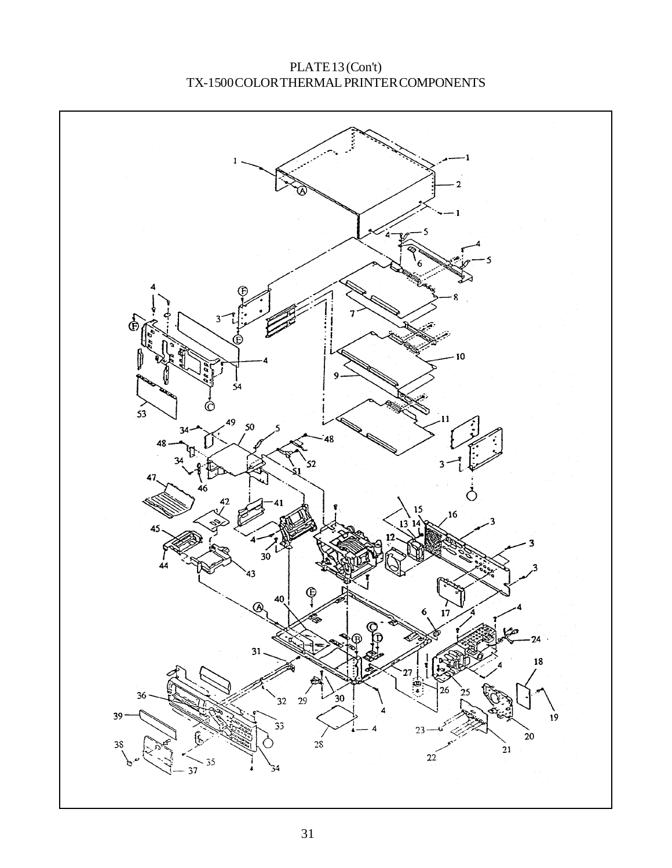PLATE 13 (Con't) TX-1500 COLOR THERMAL PRINTER COMPONENTS

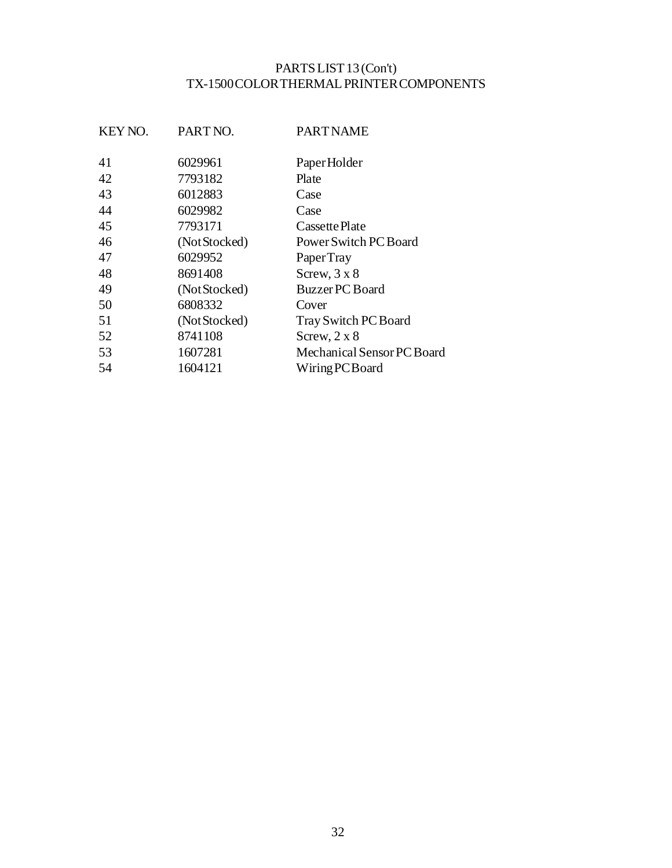#### PARTS LIST 13 (Con't) TX-1500 COLOR THERMAL PRINTER COMPONENTS

| KEY NO. | PART NO.      | <b>PART NAME</b>           |
|---------|---------------|----------------------------|
| 41      | 6029961       | Paper Holder               |
| 42      | 7793182       | Plate                      |
| 43      | 6012883       | Case                       |
| 44      | 6029982       | Case                       |
| 45      | 7793171       | Cassette Plate             |
| 46      | (Not Stocked) | Power Switch PC Board      |
| 47      | 6029952       | Paper Tray                 |
| 48      | 8691408       | Screw, $3 \times 8$        |
| 49      | (Not Stocked) | <b>Buzzer PC Board</b>     |
| 50      | 6808332       | Cover                      |
| 51      | (Not Stocked) | Tray Switch PC Board       |
| 52      | 8741108       | Screw, $2 \times 8$        |
| 53      | 1607281       | Mechanical Sensor PC Board |
| 54      | 1604121       | Wiring PC Board            |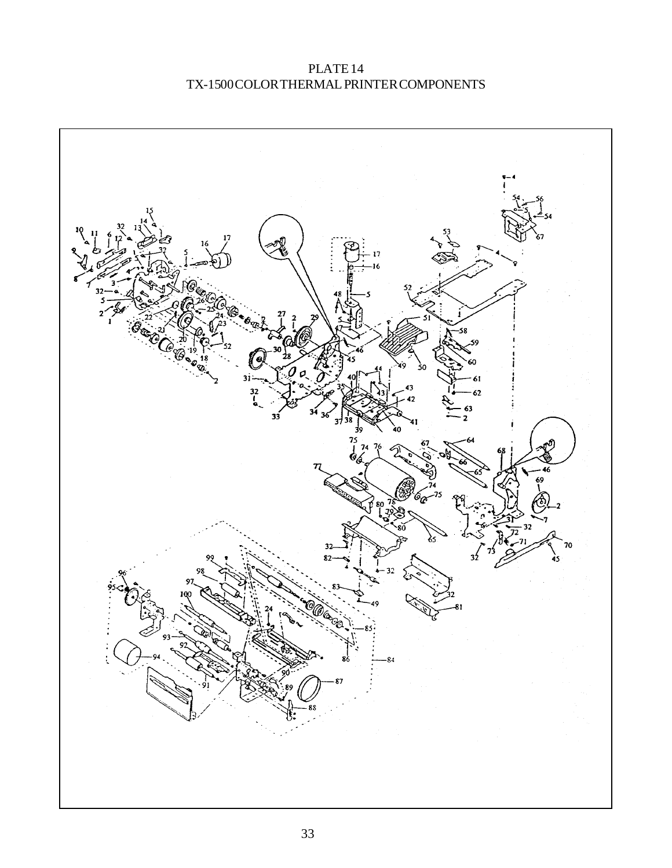PLATE 14 TX-1500 COLOR THERMAL PRINTER COMPONENTS

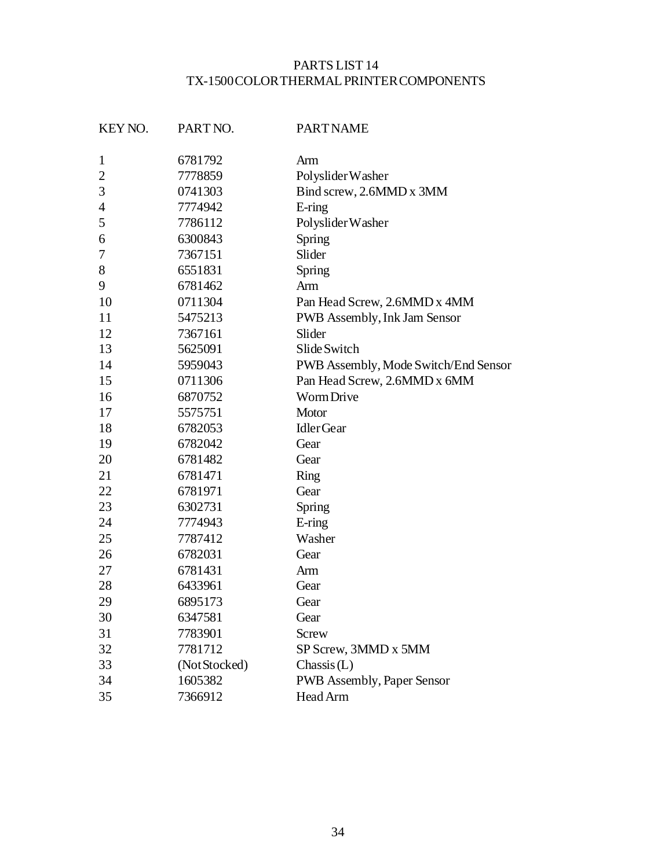#### PARTS LIST 14 TX-1500 COLOR THERMAL PRINTER COMPONENTS

| KEY NO.        | PART NO.      | <b>PART NAME</b>                     |
|----------------|---------------|--------------------------------------|
| $\mathbf{1}$   | 6781792       | Arm                                  |
| $\overline{2}$ | 7778859       | Polyslider Washer                    |
| 3              | 0741303       | Bind screw, 2.6MMD x 3MM             |
| $\overline{4}$ | 7774942       | E-ring                               |
| 5              | 7786112       | Polyslider Washer                    |
| 6              | 6300843       | Spring                               |
| 7              | 7367151       | Slider                               |
| 8              | 6551831       | Spring                               |
| 9              | 6781462       | Arm                                  |
| 10             | 0711304       | Pan Head Screw, 2.6MMD x 4MM         |
| 11             | 5475213       | PWB Assembly, Ink Jam Sensor         |
| 12             | 7367161       | Slider                               |
| 13             | 5625091       | Slide Switch                         |
| 14             | 5959043       | PWB Assembly, Mode Switch/End Sensor |
| 15             | 0711306       | Pan Head Screw, 2.6MMD x 6MM         |
| 16             | 6870752       | Worm Drive                           |
| 17             | 5575751       | Motor                                |
| 18             | 6782053       | <b>IdlerGear</b>                     |
| 19             | 6782042       | Gear                                 |
| 20             | 6781482       | Gear                                 |
| 21             | 6781471       | <b>Ring</b>                          |
| 22             | 6781971       | Gear                                 |
| 23             | 6302731       | Spring                               |
| 24             | 7774943       | E-ring                               |
| 25             | 7787412       | Washer                               |
| 26             | 6782031       | Gear                                 |
| 27             | 6781431       | Arm                                  |
| 28             | 6433961       | Gear                                 |
| 29             | 6895173       | Gear                                 |
| 30             | 6347581       | Gear                                 |
| 31             | 7783901       | Screw                                |
| 32             | 7781712       | SP Screw, 3MMD x 5MM                 |
| 33             | (Not Stocked) | Chassis(L)                           |
| 34             | 1605382       | <b>PWB Assembly, Paper Sensor</b>    |
| 35             | 7366912       | Head Arm                             |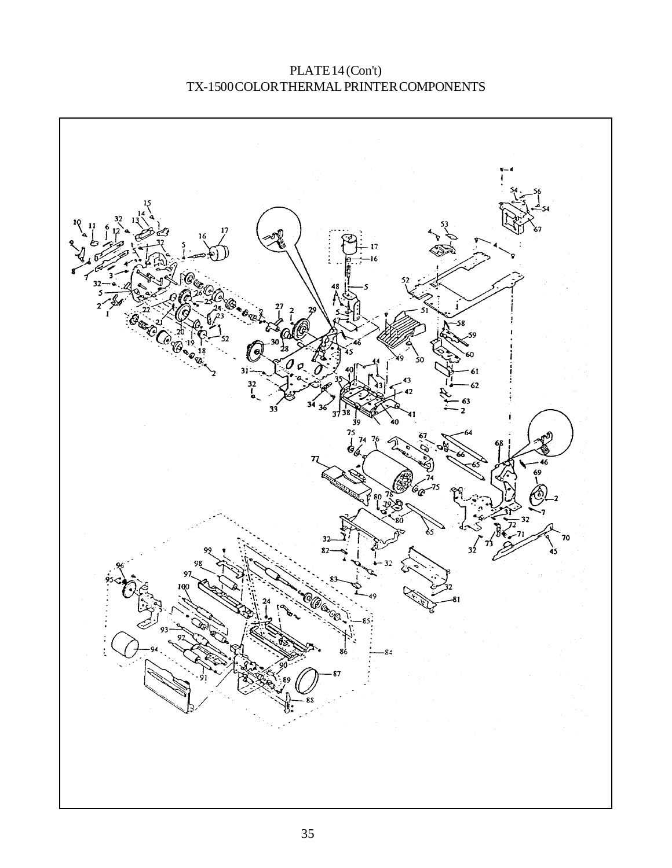PLATE 14 (Con't) TX-1500 COLOR THERMAL PRINTER COMPONENTS

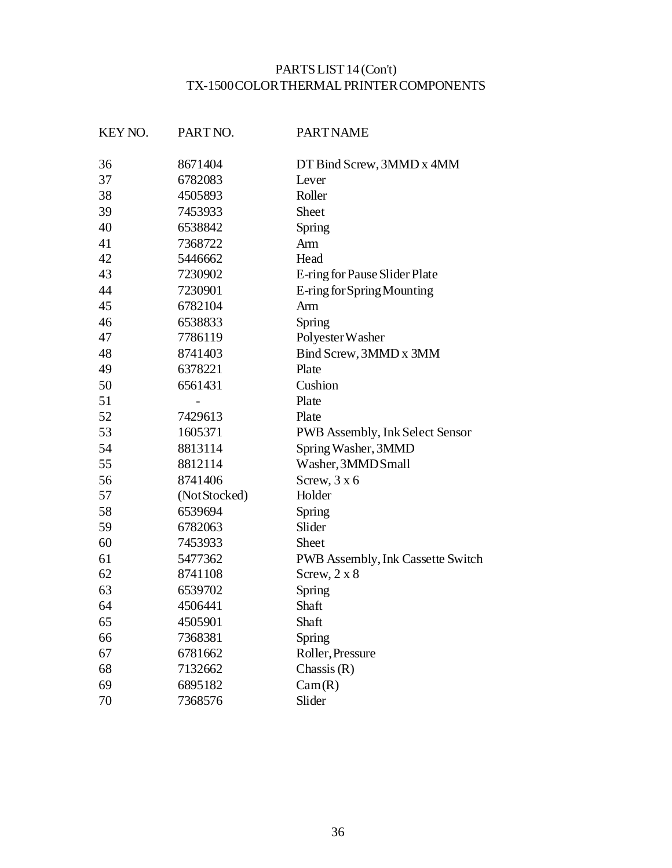## PARTS LIST 14 (Con't) TX-1500 COLOR THERMAL PRINTER COMPONENTS

| KEY NO. | PART NO.      | <b>PART NAME</b>                  |
|---------|---------------|-----------------------------------|
| 36      | 8671404       | DT Bind Screw, 3MMD x 4MM         |
| 37      | 6782083       | Lever                             |
| 38      | 4505893       | Roller                            |
| 39      | 7453933       | Sheet                             |
| 40      | 6538842       | Spring                            |
| 41      | 7368722       | Arm                               |
| 42      | 5446662       | Head                              |
| 43      | 7230902       | E-ring for Pause Slider Plate     |
| 44      | 7230901       | E-ring for Spring Mounting        |
| 45      | 6782104       | Arm                               |
| 46      | 6538833       | Spring                            |
| 47      | 7786119       | Polyester Washer                  |
| 48      | 8741403       | Bind Screw, 3MMD x 3MM            |
| 49      | 6378221       | Plate                             |
| 50      | 6561431       | Cushion                           |
| 51      |               | Plate                             |
| 52      | 7429613       | Plate                             |
| 53      | 1605371       | PWB Assembly, Ink Select Sensor   |
| 54      | 8813114       | Spring Washer, 3MMD               |
| 55      | 8812114       | Washer, 3MMD Small                |
| 56      | 8741406       | Screw, $3 \times 6$               |
| 57      | (Not Stocked) | Holder                            |
| 58      | 6539694       | Spring                            |
| 59      | 6782063       | Slider                            |
| 60      | 7453933       | Sheet                             |
| 61      | 5477362       | PWB Assembly, Ink Cassette Switch |
| 62      | 8741108       | Screw, $2 \times 8$               |
| 63      | 6539702       | Spring                            |
| 64      | 4506441       | Shaft                             |
| 65      | 4505901       | Shaft                             |
| 66      | 7368381       | Spring                            |
| 67      | 6781662       | Roller, Pressure                  |
| 68      | 7132662       | Chassis $(R)$                     |
| 69      | 6895182       | Cam(R)                            |
| 70      | 7368576       | Slider                            |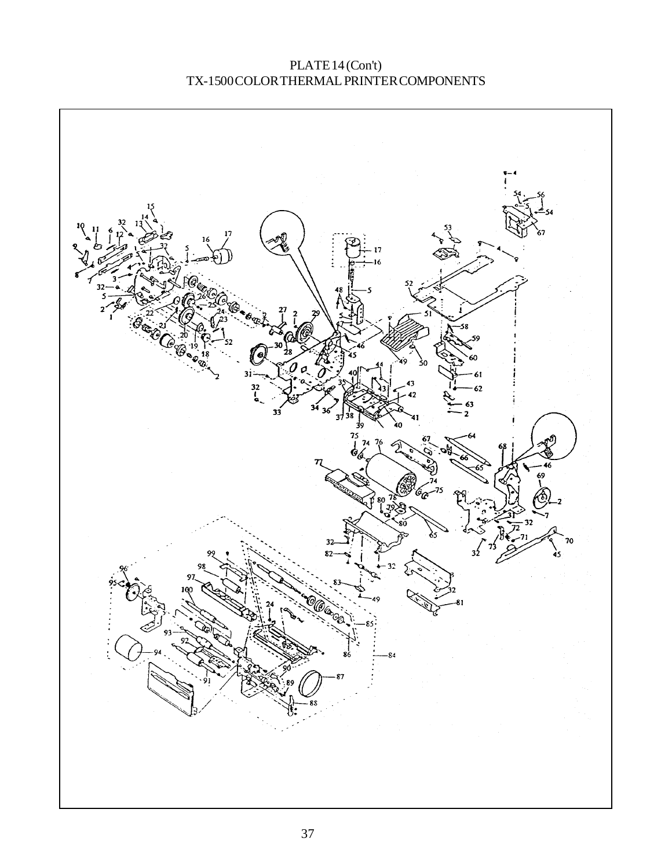PLATE 14 (Con't) TX-1500 COLOR THERMAL PRINTER COMPONENTS

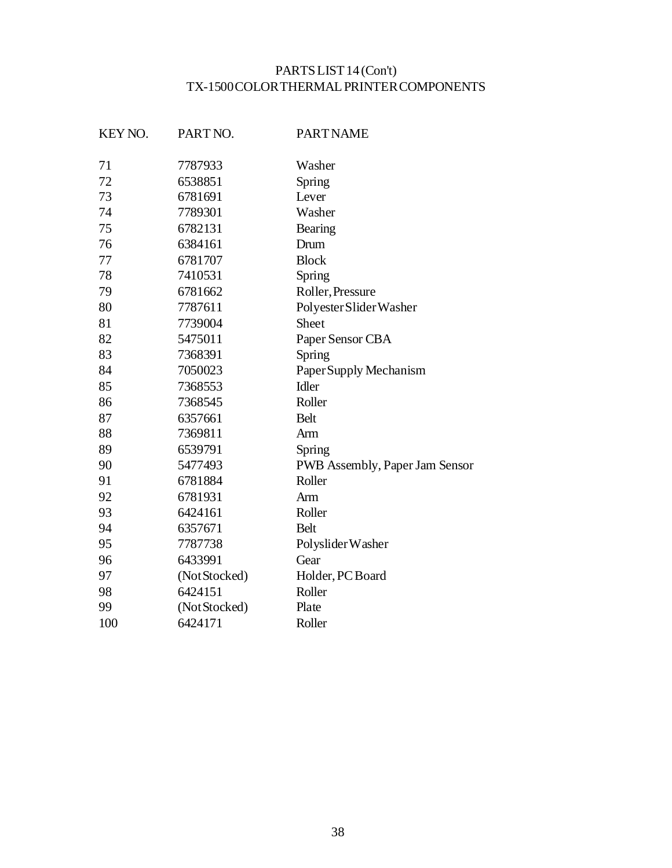# PARTS LIST 14 (Con't) TX-1500 COLOR THERMAL PRINTER COMPONENTS

| KEY NO. | PART NO.      | <b>PART NAME</b>               |
|---------|---------------|--------------------------------|
| 71      | 7787933       | Washer                         |
| 72      | 6538851       | Spring                         |
| 73      | 6781691       | Lever                          |
| 74      | 7789301       | Washer                         |
| 75      | 6782131       | Bearing                        |
| 76      | 6384161       | Drum                           |
| 77      | 6781707       | <b>Block</b>                   |
| 78      | 7410531       | Spring                         |
| 79      | 6781662       | Roller, Pressure               |
| 80      | 7787611       | Polyester Slider Washer        |
| 81      | 7739004       | <b>Sheet</b>                   |
| 82      | 5475011       | Paper Sensor CBA               |
| 83      | 7368391       | Spring                         |
| 84      | 7050023       | Paper Supply Mechanism         |
| 85      | 7368553       | Idler                          |
| 86      | 7368545       | Roller                         |
| 87      | 6357661       | <b>Belt</b>                    |
| 88      | 7369811       | Arm                            |
| 89      | 6539791       | Spring                         |
| 90      | 5477493       | PWB Assembly, Paper Jam Sensor |
| 91      | 6781884       | Roller                         |
| 92      | 6781931       | Arm                            |
| 93      | 6424161       | Roller                         |
| 94      | 6357671       | <b>Belt</b>                    |
| 95      | 7787738       | Polyslider Washer              |
| 96      | 6433991       | Gear                           |
| 97      | (Not Stocked) | Holder, PC Board               |
| 98      | 6424151       | Roller                         |
| 99      | (NotStocked)  | Plate                          |
| 100     | 6424171       | Roller                         |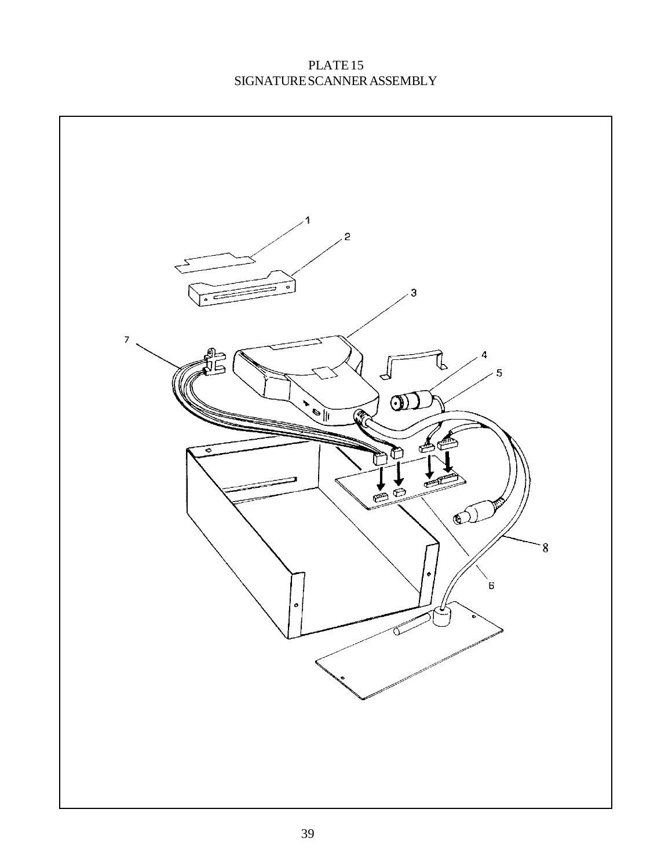## PLATE 15 SIGNATURE SCANNER ASSEMBLY

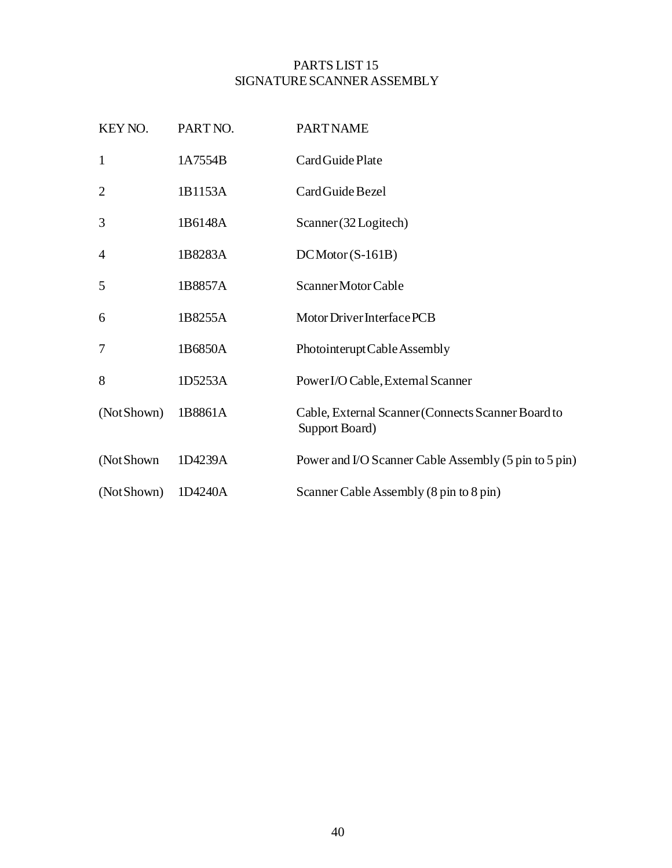#### PARTS LIST 15 SIGNATURE SCANNER ASSEMBLY

| KEY NO.        | PART NO. | <b>PART NAME</b>                                                     |
|----------------|----------|----------------------------------------------------------------------|
| $\mathbf{1}$   | 1A7554B  | Card Guide Plate                                                     |
| $\overline{2}$ | 1B1153A  | Card Guide Bezel                                                     |
| 3              | 1B6148A  | Scanner (32 Logitech)                                                |
| $\overline{4}$ | 1B8283A  | $DCMotor(S-161B)$                                                    |
| 5              | 1B8857A  | Scanner Motor Cable                                                  |
| 6              | 1B8255A  | Motor Driver Interface PCB                                           |
| $\overline{7}$ | 1B6850A  | Photointerupt Cable Assembly                                         |
| 8              | 1D5253A  | Power I/O Cable, External Scanner                                    |
| (NotShown)     | 1B8861A  | Cable, External Scanner (Connects Scanner Board to<br>Support Board) |
| (Not Shown)    | 1D4239A  | Power and I/O Scanner Cable Assembly (5 pin to 5 pin)                |
| (Not Shown)    | 1D4240A  | Scanner Cable Assembly (8 pin to 8 pin)                              |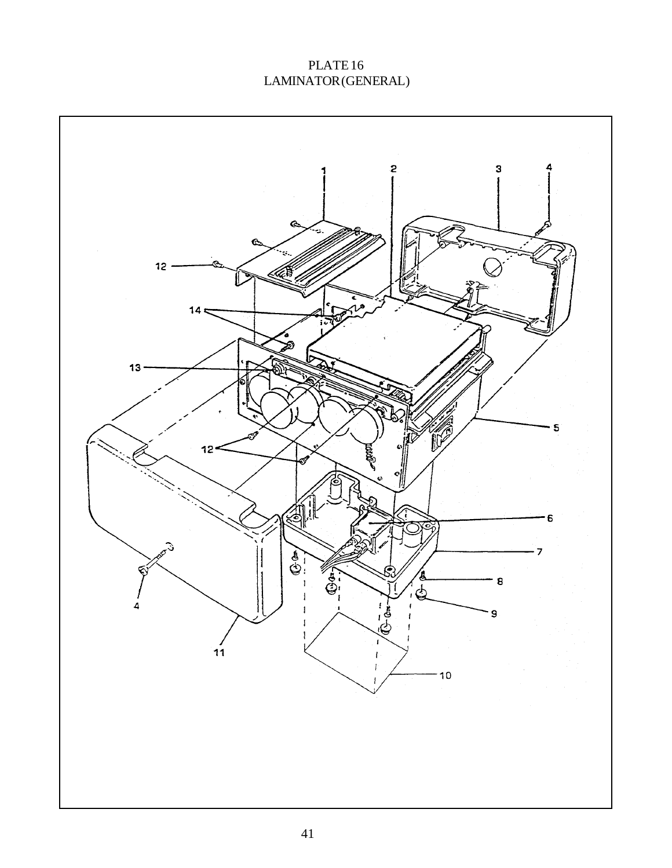# PLATE 16 LAMINATOR (GENERAL)

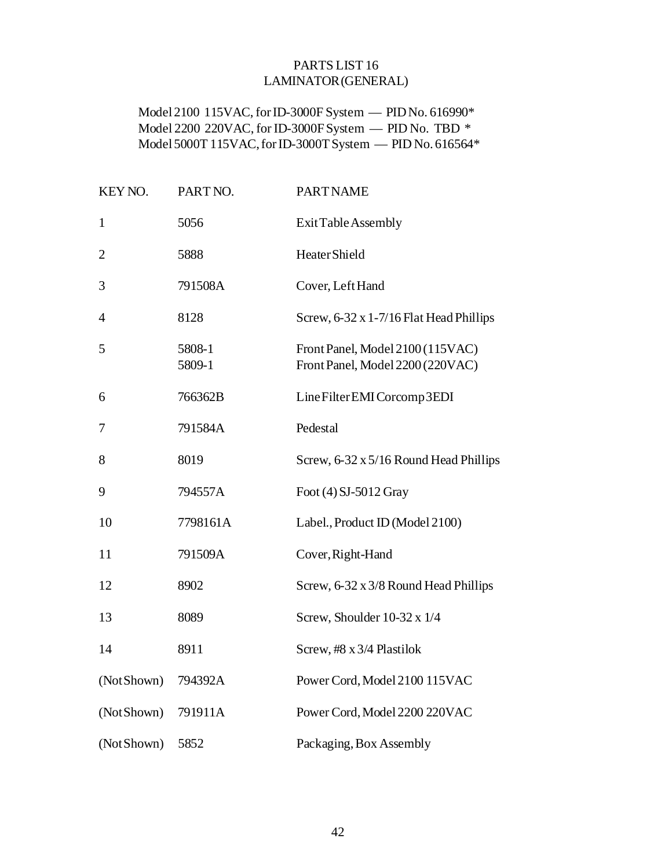#### PARTS LIST 16 LAMINATOR (GENERAL)

Model 2100 115VAC, for ID-3000F System — PID No. 616990\* Model 2200 220VAC, for ID-3000F System — PID No. TBD \* Model 5000T 115VAC, for ID-3000T System — PID No. 616564\*

| KEY NO.        | PART NO.         | <b>PART NAME</b>                                                     |
|----------------|------------------|----------------------------------------------------------------------|
| $\mathbf{1}$   | 5056             | ExitTableAssembly                                                    |
| $\overline{2}$ | 5888             | Heater Shield                                                        |
| 3              | 791508A          | Cover, Left Hand                                                     |
| $\overline{4}$ | 8128             | Screw, 6-32 x 1-7/16 Flat Head Phillips                              |
| 5              | 5808-1<br>5809-1 | Front Panel, Model 2100 (115VAC)<br>Front Panel, Model 2200 (220VAC) |
| 6              | 766362B          | Line Filter EMI Corcomp 3EDI                                         |
| 7              | 791584A          | Pedestal                                                             |
| 8              | 8019             | Screw, 6-32 x 5/16 Round Head Phillips                               |
| 9              | 794557A          | Foot (4) SJ-5012 Gray                                                |
| 10             | 7798161A         | Label., Product ID (Model 2100)                                      |
| 11             | 791509A          | Cover, Right-Hand                                                    |
| 12             | 8902             | Screw, 6-32 x 3/8 Round Head Phillips                                |
| 13             | 8089             | Screw, Shoulder 10-32 x 1/4                                          |
| 14             | 8911             | Screw, #8 x 3/4 Plastilok                                            |
| (Not Shown)    | 794392A          | Power Cord, Model 2100 115VAC                                        |
| (Not Shown)    | 791911A          | Power Cord, Model 2200 220VAC                                        |
| (Not Shown)    | 5852             | Packaging, Box Assembly                                              |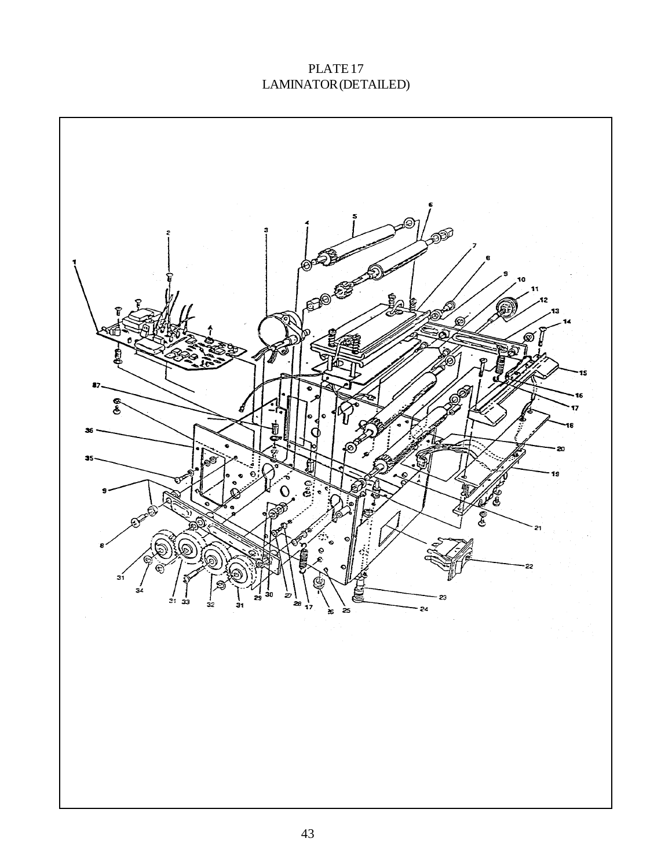# PLATE 17 LAMINATOR (DETAILED)

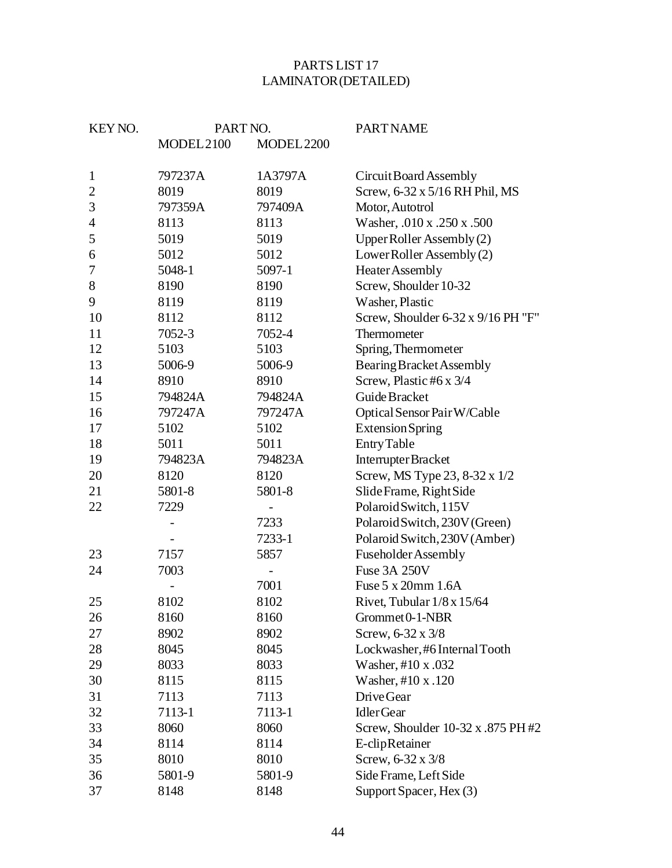## PARTS LIST 17 LAMINATOR (DETAILED)

| KEY NO.        | PART NO.   |                | <b>PART NAME</b>                   |
|----------------|------------|----------------|------------------------------------|
|                | MODEL 2100 | MODEL 2200     |                                    |
| $\mathbf{1}$   | 797237A    | 1A3797A        | Circuit Board Assembly             |
| $\mathbf{2}$   | 8019       | 8019           | Screw, 6-32 x 5/16 RH Phil, MS     |
| 3              | 797359A    | 797409A        | Motor, Autotrol                    |
| $\overline{4}$ | 8113       | 8113           | Washer, .010 x .250 x .500         |
| 5              | 5019       | 5019           | Upper Roller Assembly (2)          |
| 6              | 5012       | 5012           | LowerRoller Assembly (2)           |
| 7              | 5048-1     | 5097-1         | <b>Heater Assembly</b>             |
| 8              | 8190       | 8190           | Screw, Shoulder 10-32              |
| 9              | 8119       | 8119           | Washer, Plastic                    |
| 10             | 8112       | 8112           | Screw, Shoulder 6-32 x 9/16 PH "F" |
| 11             | 7052-3     | 7052-4         | Thermometer                        |
| 12             | 5103       | 5103           | Spring, Thermometer                |
| 13             | 5006-9     | 5006-9         | Bearing Bracket Assembly           |
| 14             | 8910       | 8910           | Screw, Plastic #6 x 3/4            |
| 15             | 794824A    | 794824A        | Guide Bracket                      |
| 16             | 797247A    | 797247A        | Optical Sensor Pair W/Cable        |
| 17             | 5102       | 5102           | <b>Extension Spring</b>            |
| 18             | 5011       | 5011           | <b>Entry Table</b>                 |
| 19             | 794823A    | 794823A        | Interrupter Bracket                |
| 20             | 8120       | 8120           | Screw, MS Type 23, 8-32 x 1/2      |
| 21             | 5801-8     | 5801-8         | Slide Frame, Right Side            |
| 22             | 7229       |                | Polaroid Switch, 115V              |
|                |            | 7233           | Polaroid Switch, 230V (Green)      |
|                |            | 7233-1         | Polaroid Switch, 230V (Amber)      |
| 23             | 7157       | 5857           | <b>Fuseholder Assembly</b>         |
| 24             | 7003       | $\overline{a}$ | Fuse 3A 250V                       |
|                |            | 7001           | Fuse 5 x 20mm 1.6A                 |
| 25             | 8102       | 8102           | Rivet, Tubular $1/8 \times 15/64$  |
| 26             | 8160       | 8160           | Grommet 0-1-NBR                    |
| 27             | 8902       | 8902           | Screw, 6-32 x 3/8                  |
| 28             | 8045       | 8045           | Lockwasher, #6 Internal Tooth      |
| 29             | 8033       | 8033           | Washer, #10 x .032                 |
| 30             | 8115       | 8115           | Washer, #10 x .120                 |
| 31             | 7113       | 7113           | Drive Gear                         |
| 32             | 7113-1     | 7113-1         | <b>IdlerGear</b>                   |
| 33             | 8060       | 8060           | Screw, Shoulder 10-32 x .875 PH #2 |
| 34             | 8114       | 8114           | E-clipRetainer                     |
| 35             | 8010       | 8010           | Screw, 6-32 x 3/8                  |
| 36             | 5801-9     | 5801-9         | Side Frame, Left Side              |
| 37             | 8148       | 8148           | Support Spacer, Hex (3)            |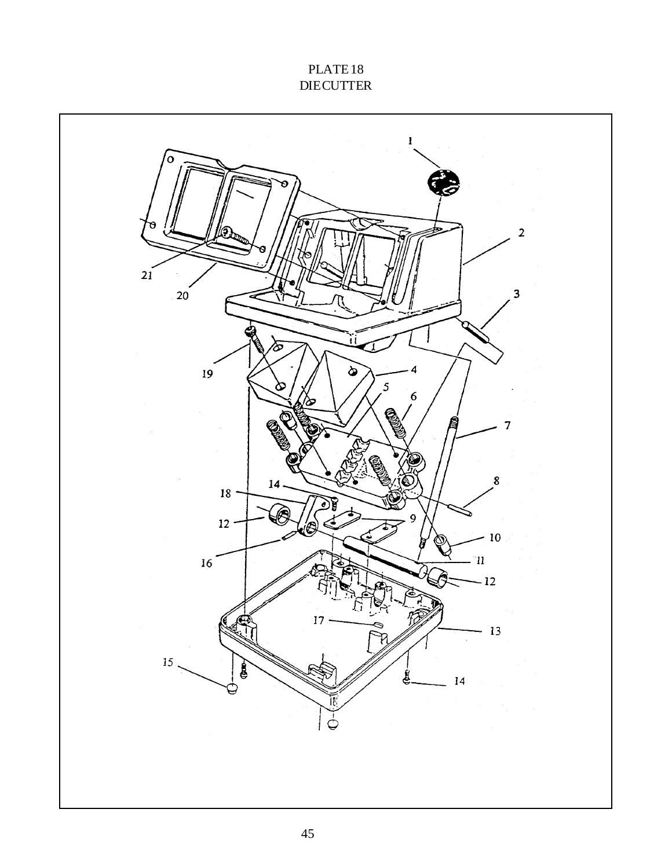## PLATE 18 **DIE CUTTER**

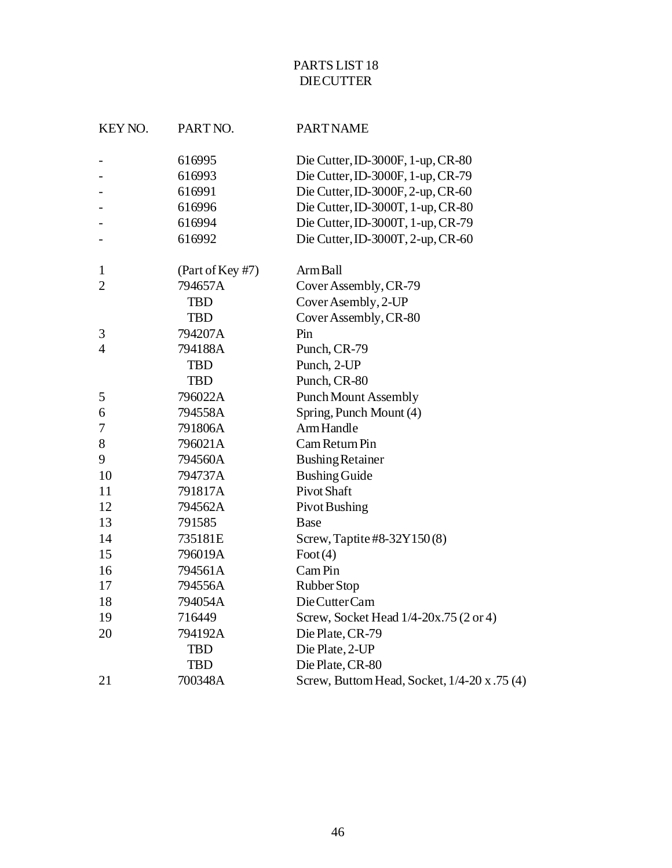## PARTS LIST 18 **DIE CUTTER**

| KEY NO.        | PART NO.         | <b>PART NAME</b>                             |
|----------------|------------------|----------------------------------------------|
|                | 616995           | Die Cutter, ID-3000F, 1-up, CR-80            |
|                | 616993           | Die Cutter, ID-3000F, 1-up, CR-79            |
|                | 616991           | Die Cutter, ID-3000F, 2-up, CR-60            |
|                | 616996           | Die Cutter, ID-3000T, 1-up, CR-80            |
|                | 616994           | Die Cutter, ID-3000T, 1-up, CR-79            |
|                | 616992           | Die Cutter, ID-3000T, 2-up, CR-60            |
| $\mathbf{1}$   | (Part of Key #7) | Arm Ball                                     |
| $\overline{2}$ | 794657A          | Cover Assembly, CR-79                        |
|                | <b>TBD</b>       | Cover Asembly, 2-UP                          |
|                | <b>TBD</b>       | Cover Assembly, CR-80                        |
| 3              | 794207A          | Pin                                          |
| 4              | 794188A          | Punch, CR-79                                 |
|                | <b>TBD</b>       | Punch, 2-UP                                  |
|                | <b>TBD</b>       | Punch, CR-80                                 |
| 5              | 796022A          | <b>Punch Mount Assembly</b>                  |
| 6              | 794558A          | Spring, Punch Mount (4)                      |
| 7              | 791806A          | Arm Handle                                   |
| 8              | 796021A          | Cam Return Pin                               |
| 9              | 794560A          | <b>Bushing Retainer</b>                      |
| 10             | 794737A          | <b>Bushing Guide</b>                         |
| 11             | 791817A          | <b>Pivot Shaft</b>                           |
| 12             | 794562A          | Pivot Bushing                                |
| 13             | 791585           | Base                                         |
| 14             | 735181E          | Screw, Taptite #8-32Y150(8)                  |
| 15             | 796019A          | $\text{foot}(4)$                             |
| 16             | 794561A          | Cam Pin                                      |
| 17             | 794556A          | Rubber Stop                                  |
| 18             | 794054A          | Die Cutter Cam                               |
| 19             | 716449           | Screw, Socket Head 1/4-20x.75 (2 or 4)       |
| 20             | 794192A          | Die Plate, CR-79                             |
|                | <b>TBD</b>       | Die Plate, 2-UP                              |
|                | <b>TBD</b>       | Die Plate, CR-80                             |
| 21             | 700348A          | Screw, Buttom Head, Socket, 1/4-20 x .75 (4) |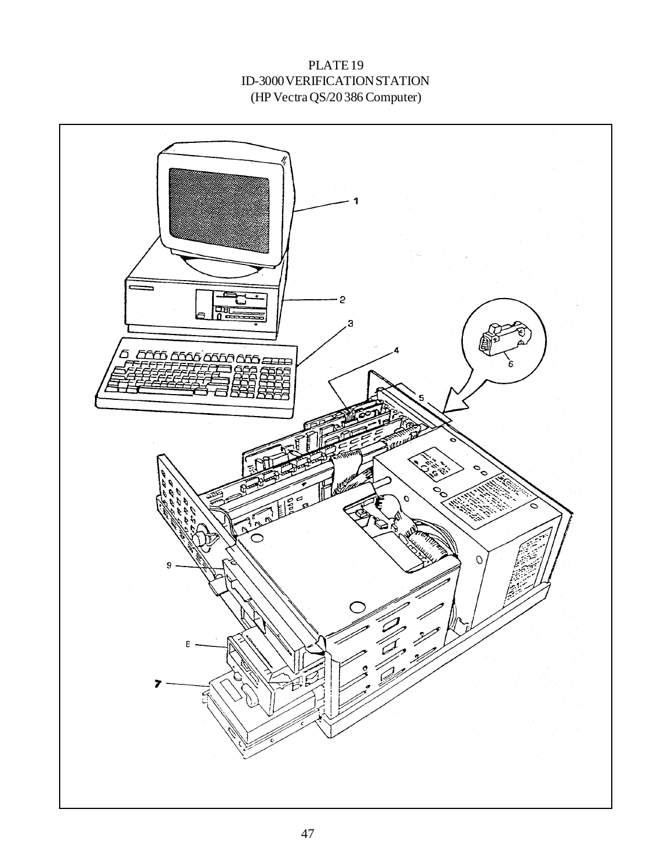## PLATE 19 ID-3000 VERIFICATION STATION (HP Vectra QS/20 386 Computer)

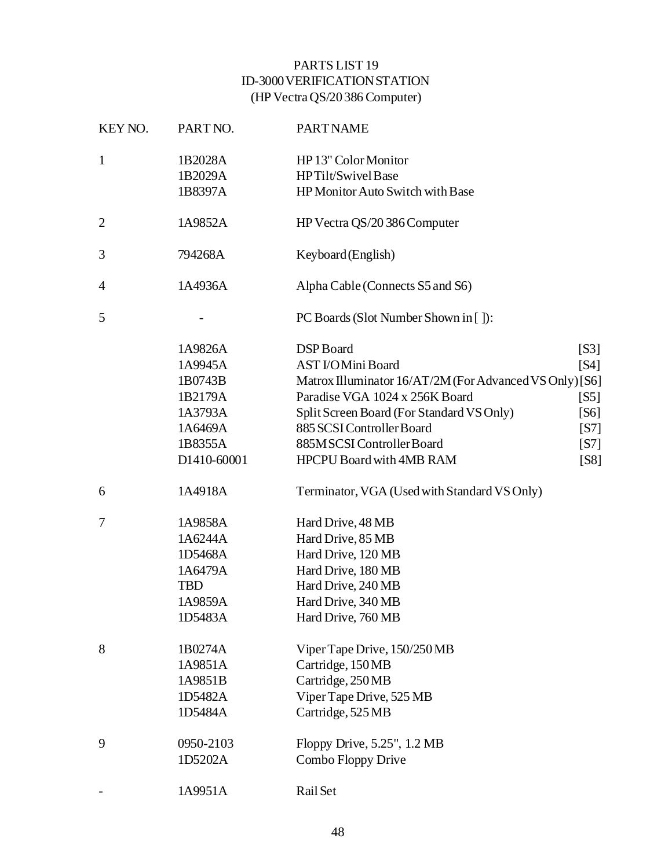## PARTS LIST 19 ID-3000 VERIFICATION STATION (HP Vectra QS/20 386 Computer)

| KEY NO.        | PART NO.    | <b>PART NAME</b>                                        |
|----------------|-------------|---------------------------------------------------------|
| $\mathbf{1}$   | 1B2028A     | HP 13" Color Monitor                                    |
|                | 1B2029A     | HPTilt/SwivelBase                                       |
|                | 1B8397A     | HP Monitor Auto Switch with Base                        |
| $\overline{c}$ | 1A9852A     | HP Vectra QS/20 386 Computer                            |
| 3              | 794268A     | Keyboard (English)                                      |
| 4              | 1A4936A     | Alpha Cable (Connects S5 and S6)                        |
| 5              |             | PC Boards (Slot Number Shown in []):                    |
|                | 1A9826A     | DSP Board<br>[S3]                                       |
|                | 1A9945A     | <b>AST I/OMini Board</b><br>[S4]                        |
|                | 1B0743B     | Matrox Illuminator 16/AT/2M (For Advanced VS Only) [S6] |
|                | 1B2179A     | Paradise VGA 1024 x 256K Board<br>[ <b>S</b>            |
|                | 1A3793A     | Split Screen Board (For Standard VS Only)<br>[S6]       |
|                | 1A6469A     | 885 SCSI Controller Board<br>[S7]                       |
|                | 1B8355A     | 885MSCSI Controller Board<br>[S7]                       |
|                | D1410-60001 | <b>HPCPU Board with 4MB RAM</b><br>[S8]                 |
| 6              | 1A4918A     | Terminator, VGA (Used with Standard VS Only)            |
| 7              | 1A9858A     | Hard Drive, 48 MB                                       |
|                | 1A6244A     | Hard Drive, 85 MB                                       |
|                | 1D5468A     | Hard Drive, 120 MB                                      |
|                | 1A6479A     | Hard Drive, 180 MB                                      |
|                | <b>TBD</b>  | Hard Drive, 240 MB                                      |
|                | 1A9859A     | Hard Drive, 340 MB                                      |
|                | 1D5483A     | Hard Drive, 760 MB                                      |
| 8              | 1B0274A     | Viper Tape Drive, 150/250 MB                            |
|                | 1A9851A     | Cartridge, 150MB                                        |
|                | 1A9851B     | Cartridge, 250MB                                        |
|                | 1D5482A     | Viper Tape Drive, 525 MB                                |
|                | 1D5484A     | Cartridge, 525 MB                                       |
| 9              | 0950-2103   | Floppy Drive, 5.25", 1.2 MB                             |
|                | 1D5202A     | Combo Floppy Drive                                      |
|                | 1A9951A     | Rail Set                                                |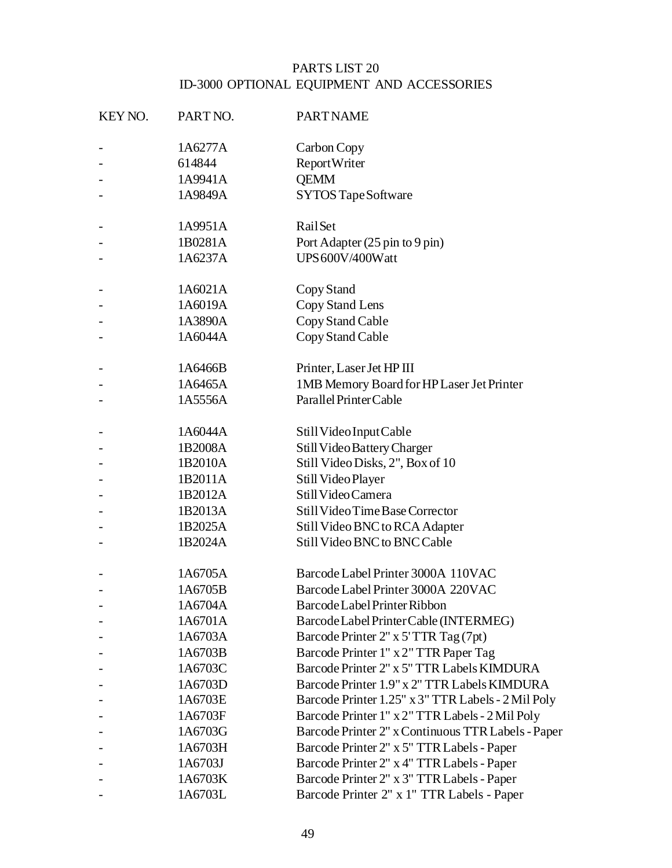## PARTS LIST 20 ID-3000 OPTIONAL EQUIPMENT AND ACCESSORIES

| KEY NO. | PART NO. | <b>PART NAME</b>                                   |
|---------|----------|----------------------------------------------------|
|         | 1A6277A  | Carbon Copy                                        |
|         | 614844   | Report Writer                                      |
|         | 1A9941A  | <b>OEMM</b>                                        |
|         | 1A9849A  | SYTOS Tape Software                                |
|         | 1A9951A  | RailSet                                            |
|         | 1B0281A  | Port Adapter (25 pin to 9 pin)                     |
|         | 1A6237A  | UPS 600V/400Watt                                   |
|         | 1A6021A  | Copy Stand                                         |
|         | 1A6019A  | Copy Stand Lens                                    |
|         | 1A3890A  | Copy Stand Cable                                   |
|         | 1A6044A  | Copy Stand Cable                                   |
|         | 1A6466B  | Printer, Laser Jet HP III                          |
|         | 1A6465A  | 1MB Memory Board for HP Laser Jet Printer          |
|         | 1A5556A  | Parallel Printer Cable                             |
|         | 1A6044A  | Still Video Input Cable                            |
|         | 1B2008A  | Still Video Battery Charger                        |
|         | 1B2010A  | Still Video Disks, 2", Box of 10                   |
|         | 1B2011A  | Still Video Player                                 |
|         | 1B2012A  | Still Video Camera                                 |
|         | 1B2013A  | Still Video Time Base Corrector                    |
|         | 1B2025A  | Still Video BNC to RCA Adapter                     |
|         | 1B2024A  | Still Video BNC to BNC Cable                       |
|         | 1A6705A  | Barcode Label Printer 3000A 110VAC                 |
|         | 1A6705B  | Barcode Label Printer 3000A 220VAC                 |
|         | 1A6704A  | Barcode Label Printer Ribbon                       |
|         | 1A6701A  | Barcode Label Printer Cable (INTERMEG)             |
|         | 1A6703A  | Barcode Printer 2" x 5' TTR Tag (7pt)              |
|         | 1A6703B  | Barcode Printer 1" x 2" TTR Paper Tag              |
|         | 1A6703C  | Barcode Printer 2" x 5" TTR Labels KIMDURA         |
|         | 1A6703D  | Barcode Printer 1.9" x 2" TTR Labels KIMDURA       |
|         | 1A6703E  | Barcode Printer 1.25" x 3" TTR Labels - 2 Mil Poly |
|         | 1A6703F  | Barcode Printer 1" x 2" TTR Labels - 2 Mil Poly    |
|         | 1A6703G  | Barcode Printer 2" x Continuous TTR Labels - Paper |
|         | 1A6703H  | Barcode Printer 2" x 5" TTR Labels - Paper         |
|         | 1A6703J  | Barcode Printer 2" x 4" TTR Labels - Paper         |
|         | 1A6703K  | Barcode Printer 2" x 3" TTR Labels - Paper         |
|         | 1A6703L  | Barcode Printer 2" x 1" TTR Labels - Paper         |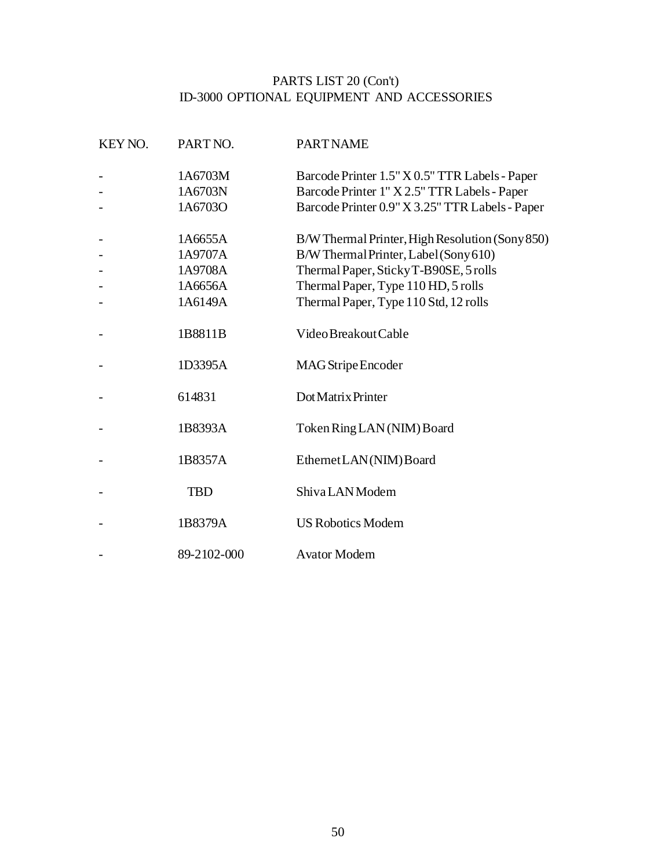#### PARTS LIST 20 (Con't) ID-3000 OPTIONAL EQUIPMENT AND ACCESSORIES

| KEY NO. | PART NO.    | <b>PART NAME</b>                                |
|---------|-------------|-------------------------------------------------|
|         | 1A6703M     | Barcode Printer 1.5" X 0.5" TTR Labels - Paper  |
|         | 1A6703N     | Barcode Printer 1" X 2.5" TTR Labels - Paper    |
|         | 1A6703O     | Barcode Printer 0.9" X 3.25" TTR Labels - Paper |
|         | 1A6655A     | B/W Thermal Printer, High Resolution (Sony 850) |
|         | 1A9707A     | B/W Thermal Printer, Label (Sony 610)           |
|         | 1A9708A     | Thermal Paper, Sticky T-B90SE, 5 rolls          |
|         | 1A6656A     | Thermal Paper, Type 110 HD, 5 rolls             |
|         | 1A6149A     | Thermal Paper, Type 110 Std, 12 rolls           |
|         | 1B8811B     | Video Breakout Cable                            |
|         | 1D3395A     | MAG Stripe Encoder                              |
|         | 614831      | Dot Matrix Printer                              |
|         | 1B8393A     | Token Ring LAN (NIM) Board                      |
|         | 1B8357A     | Ethernet LAN(NIM) Board                         |
|         | <b>TBD</b>  | ShivaLANModem                                   |
|         | 1B8379A     | <b>US Robotics Modem</b>                        |
|         | 89-2102-000 | <b>Avator Modem</b>                             |